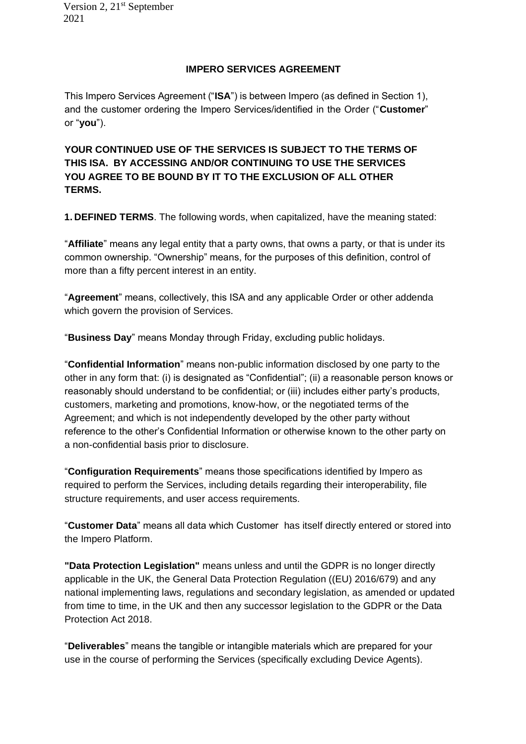### **IMPERO SERVICES AGREEMENT**

This Impero Services Agreement ("**ISA**") is between Impero (as defined in Section 1), and the customer ordering the Impero Services/identified in the Order ("**Customer**" or "**you**").

**YOUR CONTINUED USE OF THE SERVICES IS SUBJECT TO THE TERMS OF THIS ISA. BY ACCESSING AND/OR CONTINUING TO USE THE SERVICES YOU AGREE TO BE BOUND BY IT TO THE EXCLUSION OF ALL OTHER TERMS.**

**1. DEFINED TERMS**. The following words, when capitalized, have the meaning stated:

"**Affiliate**" means any legal entity that a party owns, that owns a party, or that is under its common ownership. "Ownership" means, for the purposes of this definition, control of more than a fifty percent interest in an entity.

"**Agreement**" means, collectively, this ISA and any applicable Order or other addenda which govern the provision of Services.

"**Business Day**" means Monday through Friday, excluding public holidays.

"**Confidential Information**" means non-public information disclosed by one party to the other in any form that: (i) is designated as "Confidential"; (ii) a reasonable person knows or reasonably should understand to be confidential; or (iii) includes either party's products, customers, marketing and promotions, know-how, or the negotiated terms of the Agreement; and which is not independently developed by the other party without reference to the other's Confidential Information or otherwise known to the other party on a non-confidential basis prior to disclosure.

"**Configuration Requirements**" means those specifications identified by Impero as required to perform the Services, including details regarding their interoperability, file structure requirements, and user access requirements.

"**Customer Data**" means all data which Customer has itself directly entered or stored into the Impero Platform.

**"Data Protection Legislation"** means unless and until the GDPR is no longer directly applicable in the UK, the General Data Protection Regulation ((EU) 2016/679) and any national implementing laws, regulations and secondary legislation, as amended or updated from time to time, in the UK and then any successor legislation to the GDPR or the Data Protection Act 2018.

"**Deliverables**" means the tangible or intangible materials which are prepared for your use in the course of performing the Services (specifically excluding Device Agents).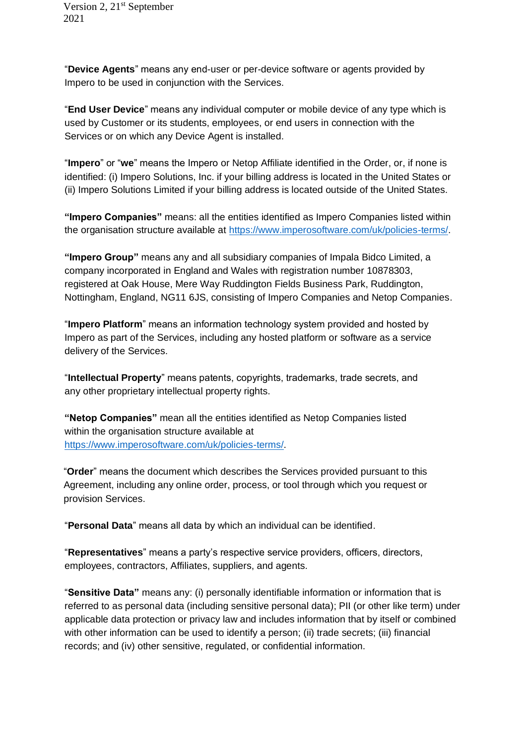"**Device Agents**" means any end-user or per-device software or agents provided by Impero to be used in conjunction with the Services.

"**End User Device**" means any individual computer or mobile device of any type which is used by Customer or its students, employees, or end users in connection with the Services or on which any Device Agent is installed.

"**Impero**" or "**we**" means the Impero or Netop Affiliate identified in the Order, or, if none is identified: (i) Impero Solutions, Inc. if your billing address is located in the United States or (ii) Impero Solutions Limited if your billing address is located outside of the United States.

**"Impero Companies"** means: all the entities identified as Impero Companies listed within the organisation structure available at [https://www.imperosoftware.com/uk/policies-terms/.](https://www.imperosoftware.com/uk/policies-terms/)

**"Impero Group"** means any and all subsidiary companies of Impala Bidco Limited, a company incorporated in England and Wales with registration number 10878303, registered at Oak House, Mere Way Ruddington Fields Business Park, Ruddington, Nottingham, England, NG11 6JS, consisting of Impero Companies and Netop Companies.

"**Impero Platform**" means an information technology system provided and hosted by Impero as part of the Services, including any hosted platform or software as a service delivery of the Services.

"**Intellectual Property**" means patents, copyrights, trademarks, trade secrets, and any other proprietary intellectual property rights.

**"Netop Companies"** mean all the entities identified as Netop Companies listed within the organisation structure available at [https://www.imperosoftware.com/uk/policies-terms/.](https://www.imperosoftware.com/uk/policies-terms/)

"**Order**" means the document which describes the Services provided pursuant to this Agreement, including any online order, process, or tool through which you request or provision Services.

"**Personal Data**" means all data by which an individual can be identified.

"**Representatives**" means a party's respective service providers, officers, directors, employees, contractors, Affiliates, suppliers, and agents.

"**Sensitive Data"** means any: (i) personally identifiable information or information that is referred to as personal data (including sensitive personal data); PII (or other like term) under applicable data protection or privacy law and includes information that by itself or combined with other information can be used to identify a person; (ii) trade secrets; (iii) financial records; and (iv) other sensitive, regulated, or confidential information.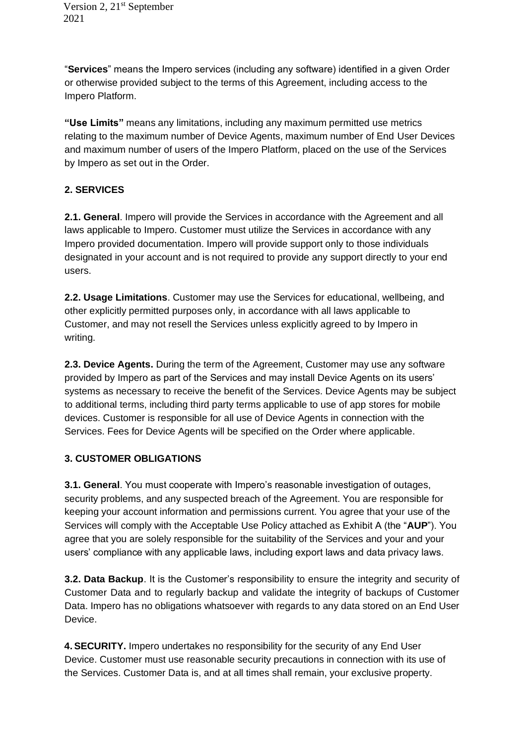"**Services**" means the Impero services (including any software) identified in a given Order or otherwise provided subject to the terms of this Agreement, including access to the Impero Platform.

**"Use Limits"** means any limitations, including any maximum permitted use metrics relating to the maximum number of Device Agents, maximum number of End User Devices and maximum number of users of the Impero Platform, placed on the use of the Services by Impero as set out in the Order.

# **2. SERVICES**

**2.1. General**. Impero will provide the Services in accordance with the Agreement and all laws applicable to Impero. Customer must utilize the Services in accordance with any Impero provided documentation. Impero will provide support only to those individuals designated in your account and is not required to provide any support directly to your end users.

**2.2. Usage Limitations**. Customer may use the Services for educational, wellbeing, and other explicitly permitted purposes only, in accordance with all laws applicable to Customer, and may not resell the Services unless explicitly agreed to by Impero in writing.

**2.3. Device Agents.** During the term of the Agreement, Customer may use any software provided by Impero as part of the Services and may install Device Agents on its users' systems as necessary to receive the benefit of the Services. Device Agents may be subject to additional terms, including third party terms applicable to use of app stores for mobile devices. Customer is responsible for all use of Device Agents in connection with the Services. Fees for Device Agents will be specified on the Order where applicable.

## **3. CUSTOMER OBLIGATIONS**

**3.1. General**. You must cooperate with Impero's reasonable investigation of outages, security problems, and any suspected breach of the Agreement. You are responsible for keeping your account information and permissions current. You agree that your use of the Services will comply with the Acceptable Use Policy attached as Exhibit A (the "**AUP**"). You agree that you are solely responsible for the suitability of the Services and your and your users' compliance with any applicable laws, including export laws and data privacy laws.

**3.2. Data Backup**. It is the Customer's responsibility to ensure the integrity and security of Customer Data and to regularly backup and validate the integrity of backups of Customer Data. Impero has no obligations whatsoever with regards to any data stored on an End User Device.

**4. SECURITY.** Impero undertakes no responsibility for the security of any End User Device. Customer must use reasonable security precautions in connection with its use of the Services. Customer Data is, and at all times shall remain, your exclusive property.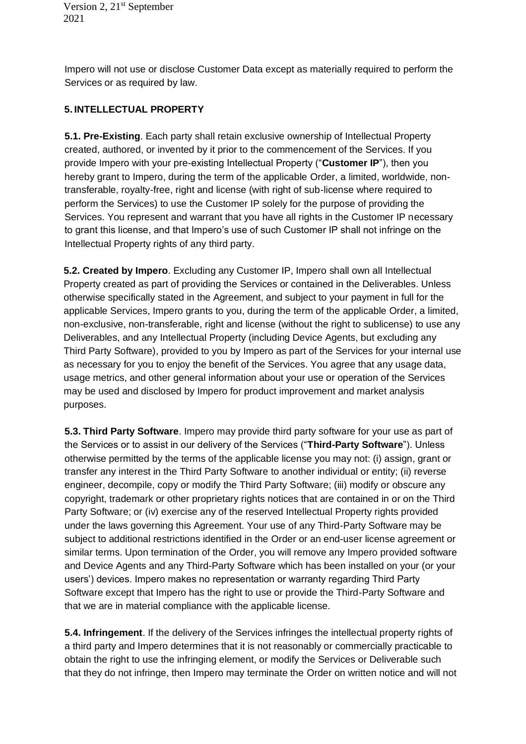Impero will not use or disclose Customer Data except as materially required to perform the Services or as required by law.

# **5. INTELLECTUAL PROPERTY**

**5.1. Pre-Existing**. Each party shall retain exclusive ownership of Intellectual Property created, authored, or invented by it prior to the commencement of the Services. If you provide Impero with your pre-existing Intellectual Property ("**Customer IP**"), then you hereby grant to Impero, during the term of the applicable Order, a limited, worldwide, nontransferable, royalty-free, right and license (with right of sub-license where required to perform the Services) to use the Customer IP solely for the purpose of providing the Services. You represent and warrant that you have all rights in the Customer IP necessary to grant this license, and that Impero's use of such Customer IP shall not infringe on the Intellectual Property rights of any third party.

**5.2. Created by Impero**. Excluding any Customer IP, Impero shall own all Intellectual Property created as part of providing the Services or contained in the Deliverables. Unless otherwise specifically stated in the Agreement, and subject to your payment in full for the applicable Services, Impero grants to you, during the term of the applicable Order, a limited, non-exclusive, non-transferable, right and license (without the right to sublicense) to use any Deliverables, and any Intellectual Property (including Device Agents, but excluding any Third Party Software), provided to you by Impero as part of the Services for your internal use as necessary for you to enjoy the benefit of the Services. You agree that any usage data, usage metrics, and other general information about your use or operation of the Services may be used and disclosed by Impero for product improvement and market analysis purposes.

**5.3. Third Party Software**. Impero may provide third party software for your use as part of the Services or to assist in our delivery of the Services ("**Third-Party Software**"). Unless otherwise permitted by the terms of the applicable license you may not: (i) assign, grant or transfer any interest in the Third Party Software to another individual or entity; (ii) reverse engineer, decompile, copy or modify the Third Party Software; (iii) modify or obscure any copyright, trademark or other proprietary rights notices that are contained in or on the Third Party Software; or (iv) exercise any of the reserved Intellectual Property rights provided under the laws governing this Agreement. Your use of any Third-Party Software may be subject to additional restrictions identified in the Order or an end-user license agreement or similar terms. Upon termination of the Order, you will remove any Impero provided software and Device Agents and any Third-Party Software which has been installed on your (or your users') devices. Impero makes no representation or warranty regarding Third Party Software except that Impero has the right to use or provide the Third-Party Software and that we are in material compliance with the applicable license.

**5.4. Infringement**. If the delivery of the Services infringes the intellectual property rights of a third party and Impero determines that it is not reasonably or commercially practicable to obtain the right to use the infringing element, or modify the Services or Deliverable such that they do not infringe, then Impero may terminate the Order on written notice and will not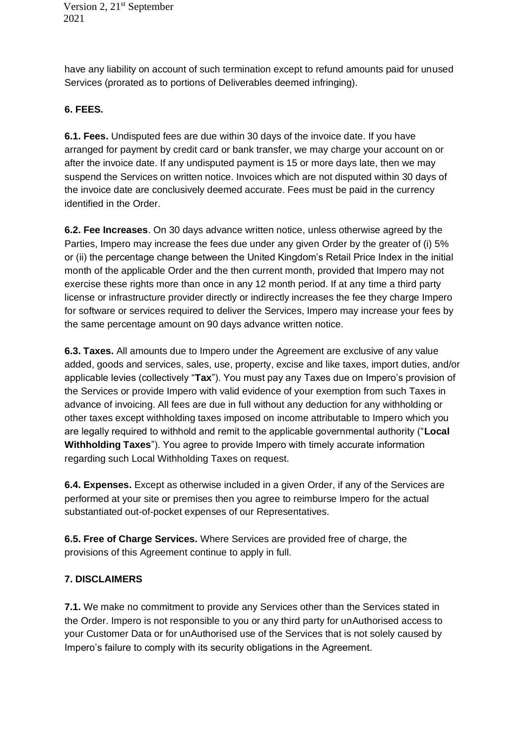have any liability on account of such termination except to refund amounts paid for unused Services (prorated as to portions of Deliverables deemed infringing).

## **6. FEES.**

**6.1. Fees.** Undisputed fees are due within 30 days of the invoice date. If you have arranged for payment by credit card or bank transfer, we may charge your account on or after the invoice date. If any undisputed payment is 15 or more days late, then we may suspend the Services on written notice. Invoices which are not disputed within 30 days of the invoice date are conclusively deemed accurate. Fees must be paid in the currency identified in the Order.

**6.2. Fee Increases**. On 30 days advance written notice, unless otherwise agreed by the Parties, Impero may increase the fees due under any given Order by the greater of (i) 5% or (ii) the percentage change between the United Kingdom's Retail Price Index in the initial month of the applicable Order and the then current month, provided that Impero may not exercise these rights more than once in any 12 month period. If at any time a third party license or infrastructure provider directly or indirectly increases the fee they charge Impero for software or services required to deliver the Services, Impero may increase your fees by the same percentage amount on 90 days advance written notice.

**6.3. Taxes.** All amounts due to Impero under the Agreement are exclusive of any value added, goods and services, sales, use, property, excise and like taxes, import duties, and/or applicable levies (collectively "**Tax**"). You must pay any Taxes due on Impero's provision of the Services or provide Impero with valid evidence of your exemption from such Taxes in advance of invoicing. All fees are due in full without any deduction for any withholding or other taxes except withholding taxes imposed on income attributable to Impero which you are legally required to withhold and remit to the applicable governmental authority ("**Local Withholding Taxes**"). You agree to provide Impero with timely accurate information regarding such Local Withholding Taxes on request.

**6.4. Expenses.** Except as otherwise included in a given Order, if any of the Services are performed at your site or premises then you agree to reimburse Impero for the actual substantiated out-of-pocket expenses of our Representatives.

**6.5. Free of Charge Services.** Where Services are provided free of charge, the provisions of this Agreement continue to apply in full.

## **7. DISCLAIMERS**

**7.1.** We make no commitment to provide any Services other than the Services stated in the Order. Impero is not responsible to you or any third party for unAuthorised access to your Customer Data or for unAuthorised use of the Services that is not solely caused by Impero's failure to comply with its security obligations in the Agreement.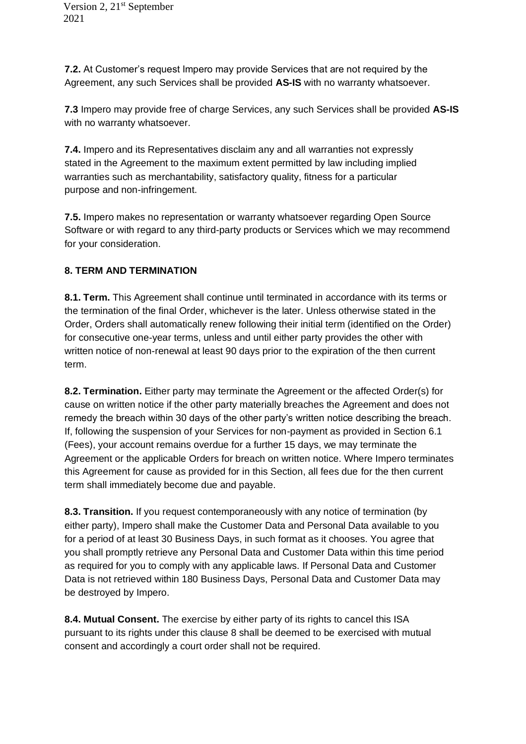**7.2.** At Customer's request Impero may provide Services that are not required by the Agreement, any such Services shall be provided **AS-IS** with no warranty whatsoever.

**7.3** Impero may provide free of charge Services, any such Services shall be provided **AS-IS** with no warranty whatsoever.

**7.4.** Impero and its Representatives disclaim any and all warranties not expressly stated in the Agreement to the maximum extent permitted by law including implied warranties such as merchantability, satisfactory quality, fitness for a particular purpose and non-infringement.

**7.5.** Impero makes no representation or warranty whatsoever regarding Open Source Software or with regard to any third-party products or Services which we may recommend for your consideration.

# **8. TERM AND TERMINATION**

**8.1. Term.** This Agreement shall continue until terminated in accordance with its terms or the termination of the final Order, whichever is the later. Unless otherwise stated in the Order, Orders shall automatically renew following their initial term (identified on the Order) for consecutive one-year terms, unless and until either party provides the other with written notice of non-renewal at least 90 days prior to the expiration of the then current term.

**8.2. Termination.** Either party may terminate the Agreement or the affected Order(s) for cause on written notice if the other party materially breaches the Agreement and does not remedy the breach within 30 days of the other party's written notice describing the breach. If, following the suspension of your Services for non-payment as provided in Section 6.1 (Fees), your account remains overdue for a further 15 days, we may terminate the Agreement or the applicable Orders for breach on written notice. Where Impero terminates this Agreement for cause as provided for in this Section, all fees due for the then current term shall immediately become due and payable.

**8.3. Transition.** If you request contemporaneously with any notice of termination (by either party), Impero shall make the Customer Data and Personal Data available to you for a period of at least 30 Business Days, in such format as it chooses. You agree that you shall promptly retrieve any Personal Data and Customer Data within this time period as required for you to comply with any applicable laws. If Personal Data and Customer Data is not retrieved within 180 Business Days, Personal Data and Customer Data may be destroyed by Impero.

**8.4. Mutual Consent.** The exercise by either party of its rights to cancel this ISA pursuant to its rights under this clause 8 shall be deemed to be exercised with mutual consent and accordingly a court order shall not be required.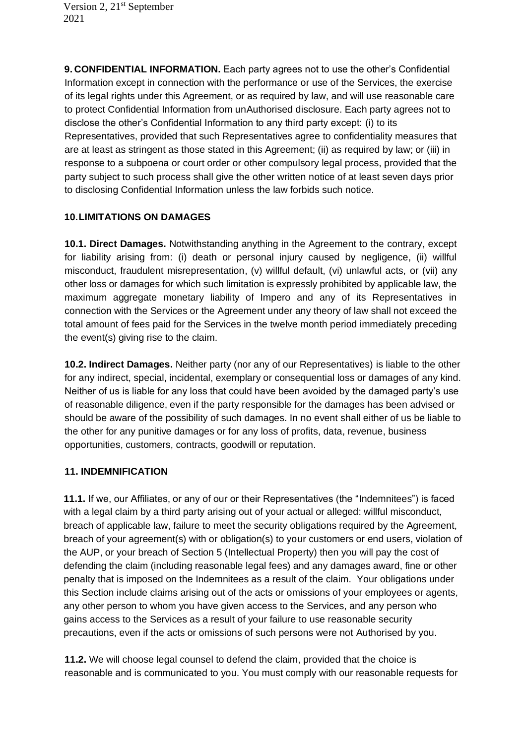**9. CONFIDENTIAL INFORMATION.** Each party agrees not to use the other's Confidential Information except in connection with the performance or use of the Services, the exercise of its legal rights under this Agreement, or as required by law, and will use reasonable care to protect Confidential Information from unAuthorised disclosure. Each party agrees not to disclose the other's Confidential Information to any third party except: (i) to its Representatives, provided that such Representatives agree to confidentiality measures that are at least as stringent as those stated in this Agreement; (ii) as required by law; or (iii) in response to a subpoena or court order or other compulsory legal process, provided that the party subject to such process shall give the other written notice of at least seven days prior to disclosing Confidential Information unless the law forbids such notice.

## **10.LIMITATIONS ON DAMAGES**

**10.1. Direct Damages.** Notwithstanding anything in the Agreement to the contrary, except for liability arising from: (i) death or personal injury caused by negligence, (ii) willful misconduct, fraudulent misrepresentation, (v) willful default, (vi) unlawful acts, or (vii) any other loss or damages for which such limitation is expressly prohibited by applicable law, the maximum aggregate monetary liability of Impero and any of its Representatives in connection with the Services or the Agreement under any theory of law shall not exceed the total amount of fees paid for the Services in the twelve month period immediately preceding the event(s) giving rise to the claim.

**10.2. Indirect Damages.** Neither party (nor any of our Representatives) is liable to the other for any indirect, special, incidental, exemplary or consequential loss or damages of any kind. Neither of us is liable for any loss that could have been avoided by the damaged party's use of reasonable diligence, even if the party responsible for the damages has been advised or should be aware of the possibility of such damages. In no event shall either of us be liable to the other for any punitive damages or for any loss of profits, data, revenue, business opportunities, customers, contracts, goodwill or reputation.

### **11. INDEMNIFICATION**

**11.1.** If we, our Affiliates, or any of our or their Representatives (the "Indemnitees") is faced with a legal claim by a third party arising out of your actual or alleged: willful misconduct, breach of applicable law, failure to meet the security obligations required by the Agreement, breach of your agreement(s) with or obligation(s) to your customers or end users, violation of the AUP, or your breach of Section 5 (Intellectual Property) then you will pay the cost of defending the claim (including reasonable legal fees) and any damages award, fine or other penalty that is imposed on the Indemnitees as a result of the claim. Your obligations under this Section include claims arising out of the acts or omissions of your employees or agents, any other person to whom you have given access to the Services, and any person who gains access to the Services as a result of your failure to use reasonable security precautions, even if the acts or omissions of such persons were not Authorised by you.

**11.2.** We will choose legal counsel to defend the claim, provided that the choice is reasonable and is communicated to you. You must comply with our reasonable requests for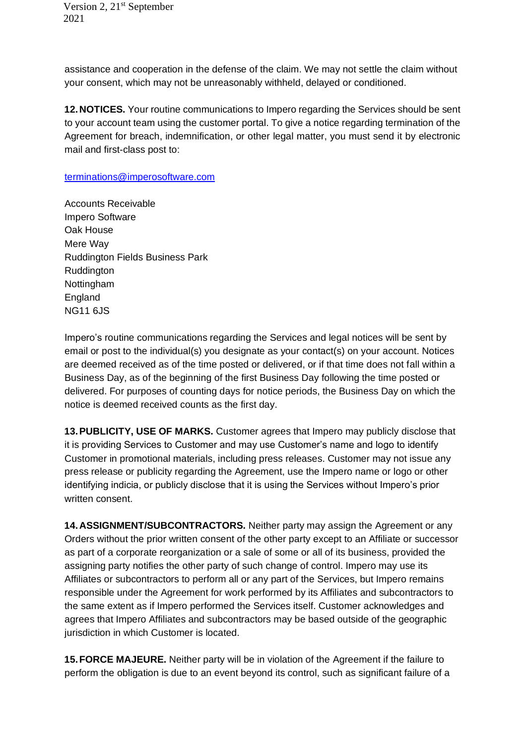assistance and cooperation in the defense of the claim. We may not settle the claim without your consent, which may not be unreasonably withheld, delayed or conditioned.

**12.NOTICES.** Your routine communications to Impero regarding the Services should be sent to your account team using the customer portal. To give a notice regarding termination of the Agreement for breach, indemnification, or other legal matter, you must send it by electronic mail and first-class post to:

terminations@imperosoftware.com

Accounts Receivable Impero Software Oak House Mere Way Ruddington Fields Business Park Ruddington Nottingham England NG11 6JS

Impero's routine communications regarding the Services and legal notices will be sent by email or post to the individual(s) you designate as your contact(s) on your account. Notices are deemed received as of the time posted or delivered, or if that time does not fall within a Business Day, as of the beginning of the first Business Day following the time posted or delivered. For purposes of counting days for notice periods, the Business Day on which the notice is deemed received counts as the first day.

**13.PUBLICITY, USE OF MARKS.** Customer agrees that Impero may publicly disclose that it is providing Services to Customer and may use Customer's name and logo to identify Customer in promotional materials, including press releases. Customer may not issue any press release or publicity regarding the Agreement, use the Impero name or logo or other identifying indicia, or publicly disclose that it is using the Services without Impero's prior written consent.

**14.ASSIGNMENT/SUBCONTRACTORS.** Neither party may assign the Agreement or any Orders without the prior written consent of the other party except to an Affiliate or successor as part of a corporate reorganization or a sale of some or all of its business, provided the assigning party notifies the other party of such change of control. Impero may use its Affiliates or subcontractors to perform all or any part of the Services, but Impero remains responsible under the Agreement for work performed by its Affiliates and subcontractors to the same extent as if Impero performed the Services itself. Customer acknowledges and agrees that Impero Affiliates and subcontractors may be based outside of the geographic jurisdiction in which Customer is located.

**15.FORCE MAJEURE.** Neither party will be in violation of the Agreement if the failure to perform the obligation is due to an event beyond its control, such as significant failure of a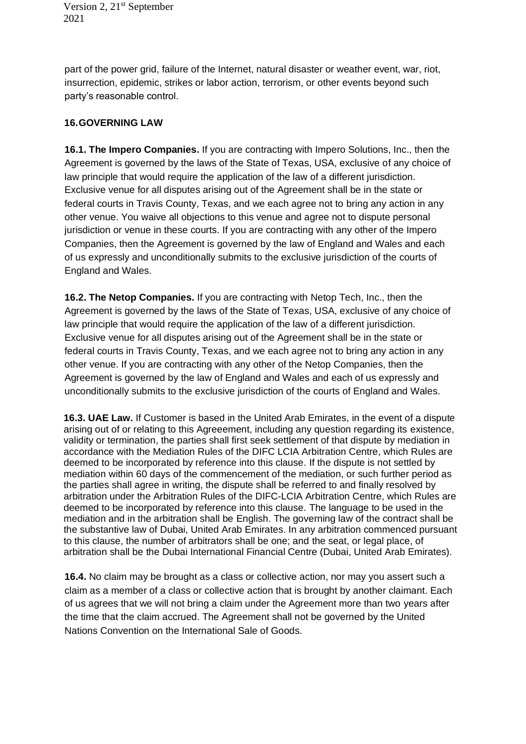part of the power grid, failure of the Internet, natural disaster or weather event, war, riot, insurrection, epidemic, strikes or labor action, terrorism, or other events beyond such party's reasonable control.

## **16.GOVERNING LAW**

**16.1. The Impero Companies.** If you are contracting with Impero Solutions, Inc., then the Agreement is governed by the laws of the State of Texas, USA, exclusive of any choice of law principle that would require the application of the law of a different jurisdiction. Exclusive venue for all disputes arising out of the Agreement shall be in the state or federal courts in Travis County, Texas, and we each agree not to bring any action in any other venue. You waive all objections to this venue and agree not to dispute personal jurisdiction or venue in these courts. If you are contracting with any other of the Impero Companies, then the Agreement is governed by the law of England and Wales and each of us expressly and unconditionally submits to the exclusive jurisdiction of the courts of England and Wales.

**16.2. The Netop Companies.** If you are contracting with Netop Tech, Inc., then the Agreement is governed by the laws of the State of Texas, USA, exclusive of any choice of law principle that would require the application of the law of a different jurisdiction. Exclusive venue for all disputes arising out of the Agreement shall be in the state or federal courts in Travis County, Texas, and we each agree not to bring any action in any other venue. If you are contracting with any other of the Netop Companies, then the Agreement is governed by the law of England and Wales and each of us expressly and unconditionally submits to the exclusive jurisdiction of the courts of England and Wales.

**16.3. UAE Law.** If Customer is based in the United Arab Emirates, in the event of a dispute arising out of or relating to this Agreeement, including any question regarding its existence, validity or termination, the parties shall first seek settlement of that dispute by mediation in accordance with the Mediation Rules of the DIFC LCIA Arbitration Centre, which Rules are deemed to be incorporated by reference into this clause. If the dispute is not settled by mediation within 60 days of the commencement of the mediation, or such further period as the parties shall agree in writing, the dispute shall be referred to and finally resolved by arbitration under the Arbitration Rules of the DIFC-LCIA Arbitration Centre, which Rules are deemed to be incorporated by reference into this clause. The language to be used in the mediation and in the arbitration shall be English. The governing law of the contract shall be the substantive law of Dubai, United Arab Emirates. In any arbitration commenced pursuant to this clause, the number of arbitrators shall be one; and the seat, or legal place, of arbitration shall be the Dubai International Financial Centre (Dubai, United Arab Emirates).

**16.4.** No claim may be brought as a class or collective action, nor may you assert such a claim as a member of a class or collective action that is brought by another claimant. Each of us agrees that we will not bring a claim under the Agreement more than two years after the time that the claim accrued. The Agreement shall not be governed by the United Nations Convention on the International Sale of Goods.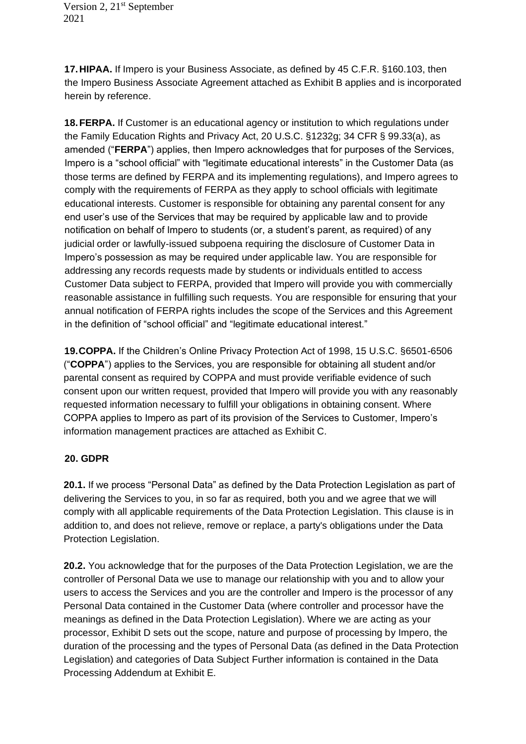**17.HIPAA.** If Impero is your Business Associate, as defined by 45 C.F.R. §160.103, then the Impero Business Associate Agreement attached as Exhibit B applies and is incorporated herein by reference.

**18.FERPA.** If Customer is an educational agency or institution to which regulations under the Family Education Rights and Privacy Act, 20 U.S.C. §1232g; 34 CFR § 99.33(a), as amended ("**FERPA**") applies, then Impero acknowledges that for purposes of the Services, Impero is a "school official" with "legitimate educational interests" in the Customer Data (as those terms are defined by FERPA and its implementing regulations), and Impero agrees to comply with the requirements of FERPA as they apply to school officials with legitimate educational interests. Customer is responsible for obtaining any parental consent for any end user's use of the Services that may be required by applicable law and to provide notification on behalf of Impero to students (or, a student's parent, as required) of any judicial order or lawfully-issued subpoena requiring the disclosure of Customer Data in Impero's possession as may be required under applicable law. You are responsible for addressing any records requests made by students or individuals entitled to access Customer Data subject to FERPA, provided that Impero will provide you with commercially reasonable assistance in fulfilling such requests. You are responsible for ensuring that your annual notification of FERPA rights includes the scope of the Services and this Agreement in the definition of "school official" and "legitimate educational interest."

**19.COPPA.** If the Children's Online Privacy Protection Act of 1998, 15 U.S.C. §6501-6506 ("**COPPA**") applies to the Services, you are responsible for obtaining all student and/or parental consent as required by COPPA and must provide verifiable evidence of such consent upon our written request, provided that Impero will provide you with any reasonably requested information necessary to fulfill your obligations in obtaining consent. Where COPPA applies to Impero as part of its provision of the Services to Customer, Impero's information management practices are attached as Exhibit C.

## **20. GDPR**

**20.1.** If we process "Personal Data" as defined by the Data Protection Legislation as part of delivering the Services to you, in so far as required, both you and we agree that we will comply with all applicable requirements of the Data Protection Legislation. This clause is in addition to, and does not relieve, remove or replace, a party's obligations under the Data Protection Legislation.

**20.2.** You acknowledge that for the purposes of the Data Protection Legislation, we are the controller of Personal Data we use to manage our relationship with you and to allow your users to access the Services and you are the controller and Impero is the processor of any Personal Data contained in the Customer Data (where controller and processor have the meanings as defined in the Data Protection Legislation). Where we are acting as your processor, Exhibit D sets out the scope, nature and purpose of processing by Impero, the duration of the processing and the types of Personal Data (as defined in the Data Protection Legislation) and categories of Data Subject Further information is contained in the Data Processing Addendum at Exhibit E.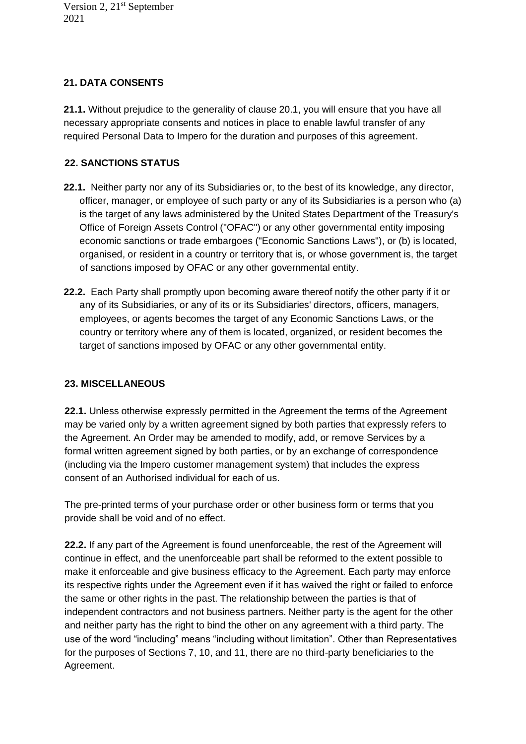## **21. DATA CONSENTS**

**21.1.** Without prejudice to the generality of clause 20.1, you will ensure that you have all necessary appropriate consents and notices in place to enable lawful transfer of any required Personal Data to Impero for the duration and purposes of this agreement.

# **22. SANCTIONS STATUS**

- **22.1.** Neither party nor any of its Subsidiaries or, to the best of its knowledge, any director, officer, manager, or employee of such party or any of its Subsidiaries is a person who (a) is the target of any laws administered by the United States Department of the Treasury's Office of Foreign Assets Control ("OFAC") or any other governmental entity imposing economic sanctions or trade embargoes ("Economic Sanctions Laws"), or (b) is located, organised, or resident in a country or territory that is, or whose government is, the target of sanctions imposed by OFAC or any other governmental entity.
- **22.2.** Each Party shall promptly upon becoming aware thereof notify the other party if it or any of its Subsidiaries, or any of its or its Subsidiaries' directors, officers, managers, employees, or agents becomes the target of any Economic Sanctions Laws, or the country or territory where any of them is located, organized, or resident becomes the target of sanctions imposed by OFAC or any other governmental entity.

## **23. MISCELLANEOUS**

**22.1.** Unless otherwise expressly permitted in the Agreement the terms of the Agreement may be varied only by a written agreement signed by both parties that expressly refers to the Agreement. An Order may be amended to modify, add, or remove Services by a formal written agreement signed by both parties, or by an exchange of correspondence (including via the Impero customer management system) that includes the express consent of an Authorised individual for each of us.

The pre-printed terms of your purchase order or other business form or terms that you provide shall be void and of no effect.

**22.2.** If any part of the Agreement is found unenforceable, the rest of the Agreement will continue in effect, and the unenforceable part shall be reformed to the extent possible to make it enforceable and give business efficacy to the Agreement. Each party may enforce its respective rights under the Agreement even if it has waived the right or failed to enforce the same or other rights in the past. The relationship between the parties is that of independent contractors and not business partners. Neither party is the agent for the other and neither party has the right to bind the other on any agreement with a third party. The use of the word "including" means "including without limitation". Other than Representatives for the purposes of Sections 7, 10, and 11, there are no third-party beneficiaries to the Agreement.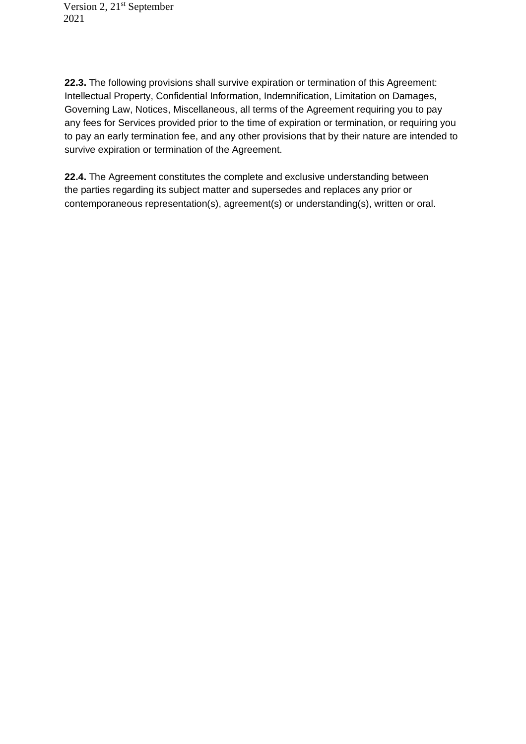**22.3.** The following provisions shall survive expiration or termination of this Agreement: Intellectual Property, Confidential Information, Indemnification, Limitation on Damages, Governing Law, Notices, Miscellaneous, all terms of the Agreement requiring you to pay any fees for Services provided prior to the time of expiration or termination, or requiring you to pay an early termination fee, and any other provisions that by their nature are intended to survive expiration or termination of the Agreement.

**22.4.** The Agreement constitutes the complete and exclusive understanding between the parties regarding its subject matter and supersedes and replaces any prior or contemporaneous representation(s), agreement(s) or understanding(s), written or oral.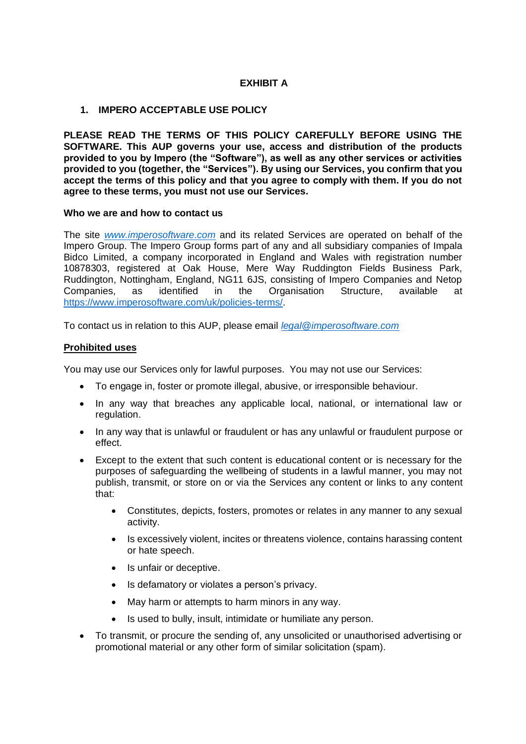## **EXHIBIT A**

#### **1. IMPERO ACCEPTABLE USE POLICY**

**PLEASE READ THE TERMS OF THIS POLICY CAREFULLY BEFORE USING THE SOFTWARE. This AUP governs your use, access and distribution of the products provided to you by Impero (the "Software"), as well as any other services or activities provided to you (together, the "Services"). By using our Services, you confirm that you accept the terms of this policy and that you agree to comply with them. If you do not agree to these terms, you must not use our Services.** 

#### **Who we are and how to contact us**

The site *[www.imperosoftware.com](http://www.imperosoftware.com/)* and its related Services are operated on behalf of the Impero Group. The Impero Group forms part of any and all subsidiary companies of Impala Bidco Limited, a company incorporated in England and Wales with registration number 10878303, registered at Oak House, Mere Way Ruddington Fields Business Park, Ruddington, Nottingham, England, NG11 6JS, consisting of Impero Companies and Netop Companies, as identified in the Organisation Structure, available at [https://www.imperosoftware.com/uk/policies-terms/.](https://www.imperosoftware.com/uk/policies-terms/)

To contact us in relation to this AUP, please email *[legal@imperosoftware.com](mailto:legal@imperosoftware.com)*

#### **Prohibited uses**

You may use our Services only for lawful purposes. You may not use our Services:

- To engage in, foster or promote illegal, abusive, or irresponsible behaviour.
- In any way that breaches any applicable local, national, or international law or regulation.
- In any way that is unlawful or fraudulent or has any unlawful or fraudulent purpose or effect.
- Except to the extent that such content is educational content or is necessary for the purposes of safeguarding the wellbeing of students in a lawful manner, you may not publish, transmit, or store on or via the Services any content or links to any content that:
	- Constitutes, depicts, fosters, promotes or relates in any manner to any sexual activity.
	- Is excessively violent, incites or threatens violence, contains harassing content or hate speech.
	- Is unfair or deceptive.
	- Is defamatory or violates a person's privacy.
	- May harm or attempts to harm minors in any way.
	- Is used to bully, insult, intimidate or humiliate any person.
- To transmit, or procure the sending of, any unsolicited or unauthorised advertising or promotional material or any other form of similar solicitation (spam).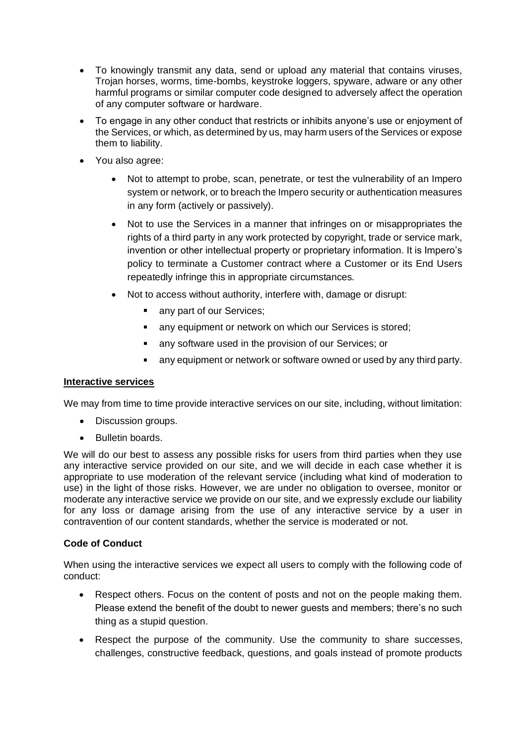- To knowingly transmit any data, send or upload any material that contains viruses, Trojan horses, worms, time-bombs, keystroke loggers, spyware, adware or any other harmful programs or similar computer code designed to adversely affect the operation of any computer software or hardware.
- To engage in any other conduct that restricts or inhibits anyone's use or enjoyment of the Services, or which, as determined by us, may harm users of the Services or expose them to liability.
- You also agree:
	- Not to attempt to probe, scan, penetrate, or test the vulnerability of an Impero system or network, or to breach the Impero security or authentication measures in any form (actively or passively).
	- Not to use the Services in a manner that infringes on or misappropriates the rights of a third party in any work protected by copyright, trade or service mark, invention or other intellectual property or proprietary information. It is Impero's policy to terminate a Customer contract where a Customer or its End Users repeatedly infringe this in appropriate circumstances.
	- Not to access without authority, interfere with, damage or disrupt:
		- any part of our Services;
		- **EXECT** any equipment or network on which our Services is stored;
		- $\blacksquare$ any software used in the provision of our Services; or
		- **EXTER** any equipment or network or software owned or used by any third party.

## **Interactive services**

We may from time to time provide interactive services on our site, including, without limitation:

- Discussion groups.
- Bulletin boards.

We will do our best to assess any possible risks for users from third parties when they use any interactive service provided on our site, and we will decide in each case whether it is appropriate to use moderation of the relevant service (including what kind of moderation to use) in the light of those risks. However, we are under no obligation to oversee, monitor or moderate any interactive service we provide on our site, and we expressly exclude our liability for any loss or damage arising from the use of any interactive service by a user in contravention of our content standards, whether the service is moderated or not.

### **Code of Conduct**

When using the interactive services we expect all users to comply with the following code of conduct:

- Respect others. Focus on the content of posts and not on the people making them. Please extend the benefit of the doubt to newer guests and members; there's no such thing as a stupid question.
- Respect the purpose of the community. Use the community to share successes, challenges, constructive feedback, questions, and goals instead of promote products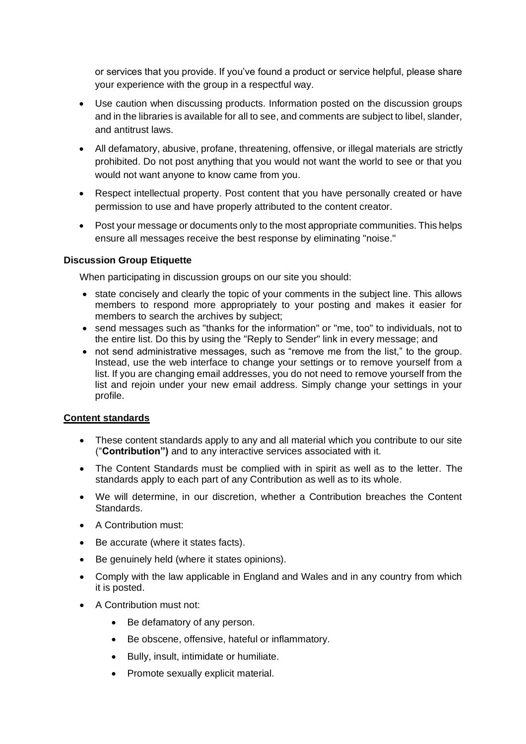or services that you provide. If you've found a product or service helpful, please share your experience with the group in a respectful way.

- Use caution when discussing products. Information posted on the discussion groups and in the libraries is available for all to see, and comments are subject to libel, slander, and antitrust laws.
- All defamatory, abusive, profane, threatening, offensive, or illegal materials are strictly prohibited. Do not post anything that you would not want the world to see or that you would not want anyone to know came from you.
- Respect intellectual property. Post content that you have personally created or have permission to use and have properly attributed to the content creator.
- Post your message or documents only to the most appropriate communities. This helps ensure all messages receive the best response by eliminating "noise."

#### **Discussion Group Etiquette**

When participating in discussion groups on our site you should:

- state concisely and clearly the topic of your comments in the subject line. This allows members to respond more appropriately to your posting and makes it easier for members to search the archives by subject;
- send messages such as "thanks for the information" or "me, too" to individuals, not to the entire list. Do this by using the "Reply to Sender" link in every message; and
- not send administrative messages, such as "remove me from the list," to the group. Instead, use the web interface to change your settings or to remove yourself from a list. If you are changing email addresses, you do not need to remove yourself from the list and rejoin under your new email address. Simply change your settings in your profile.

### **Content standards**

- These content standards apply to any and all material which you contribute to our site ("**Contribution")** and to any interactive services associated with it.
- The Content Standards must be complied with in spirit as well as to the letter. The standards apply to each part of any Contribution as well as to its whole.
- We will determine, in our discretion, whether a Contribution breaches the Content Standards.
- A Contribution must:
- Be accurate (where it states facts).
- Be genuinely held (where it states opinions).
- Comply with the law applicable in England and Wales and in any country from which it is posted.
- A Contribution must not:
	- Be defamatory of any person.
	- Be obscene, offensive, hateful or inflammatory.
	- Bully, insult, intimidate or humiliate.
	- Promote sexually explicit material.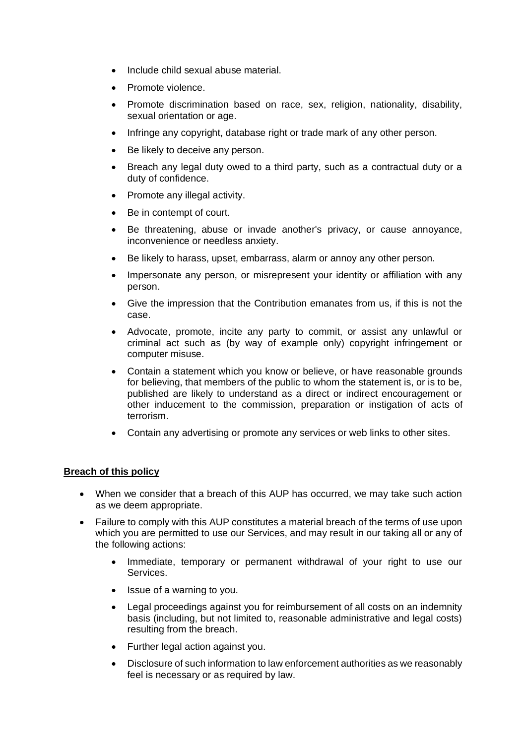- Include child sexual abuse material.
- Promote violence.
- Promote discrimination based on race, sex, religion, nationality, disability, sexual orientation or age.
- Infringe any copyright, database right or trade mark of any other person.
- Be likely to deceive any person.
- Breach any legal duty owed to a third party, such as a contractual duty or a duty of confidence.
- Promote any illegal activity.
- Be in contempt of court.
- Be threatening, abuse or invade another's privacy, or cause annoyance, inconvenience or needless anxiety.
- Be likely to harass, upset, embarrass, alarm or annoy any other person.
- Impersonate any person, or misrepresent your identity or affiliation with any person.
- Give the impression that the Contribution emanates from us, if this is not the case.
- Advocate, promote, incite any party to commit, or assist any unlawful or criminal act such as (by way of example only) copyright infringement or computer misuse.
- Contain a statement which you know or believe, or have reasonable grounds for believing, that members of the public to whom the statement is, or is to be, published are likely to understand as a direct or indirect encouragement or other inducement to the commission, preparation or instigation of acts of terrorism.
- Contain any advertising or promote any services or web links to other sites.

#### **Breach of this policy**

- When we consider that a breach of this AUP has occurred, we may take such action as we deem appropriate.
- Failure to comply with this AUP constitutes a material breach of the terms of use upon which you are permitted to use our Services, and may result in our taking all or any of the following actions:
	- Immediate, temporary or permanent withdrawal of your right to use our Services.
	- Issue of a warning to you.
	- Legal proceedings against you for reimbursement of all costs on an indemnity basis (including, but not limited to, reasonable administrative and legal costs) resulting from the breach.
	- Further legal action against you.
	- Disclosure of such information to law enforcement authorities as we reasonably feel is necessary or as required by law.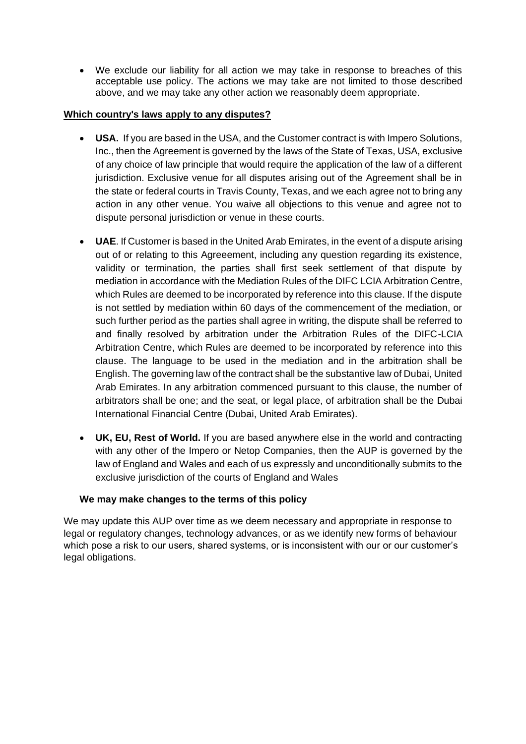• We exclude our liability for all action we may take in response to breaches of this acceptable use policy. The actions we may take are not limited to those described above, and we may take any other action we reasonably deem appropriate.

### **Which country's laws apply to any disputes?**

- **USA.** If you are based in the USA, and the Customer contract is with Impero Solutions, Inc., then the Agreement is governed by the laws of the State of Texas, USA, exclusive of any choice of law principle that would require the application of the law of a different jurisdiction. Exclusive venue for all disputes arising out of the Agreement shall be in the state or federal courts in Travis County, Texas, and we each agree not to bring any action in any other venue. You waive all objections to this venue and agree not to dispute personal jurisdiction or venue in these courts.
- **UAE**. If Customer is based in the United Arab Emirates, in the event of a dispute arising out of or relating to this Agreeement, including any question regarding its existence, validity or termination, the parties shall first seek settlement of that dispute by mediation in accordance with the Mediation Rules of the DIFC LCIA Arbitration Centre, which Rules are deemed to be incorporated by reference into this clause. If the dispute is not settled by mediation within 60 days of the commencement of the mediation, or such further period as the parties shall agree in writing, the dispute shall be referred to and finally resolved by arbitration under the Arbitration Rules of the DIFC-LCIA Arbitration Centre, which Rules are deemed to be incorporated by reference into this clause. The language to be used in the mediation and in the arbitration shall be English. The governing law of the contract shall be the substantive law of Dubai, United Arab Emirates. In any arbitration commenced pursuant to this clause, the number of arbitrators shall be one; and the seat, or legal place, of arbitration shall be the Dubai International Financial Centre (Dubai, United Arab Emirates).
- **UK, EU, Rest of World.** If you are based anywhere else in the world and contracting with any other of the Impero or Netop Companies, then the AUP is governed by the law of England and Wales and each of us expressly and unconditionally submits to the exclusive jurisdiction of the courts of England and Wales

## **We may make changes to the terms of this policy**

We may update this AUP over time as we deem necessary and appropriate in response to legal or regulatory changes, technology advances, or as we identify new forms of behaviour which pose a risk to our users, shared systems, or is inconsistent with our or our customer's legal obligations.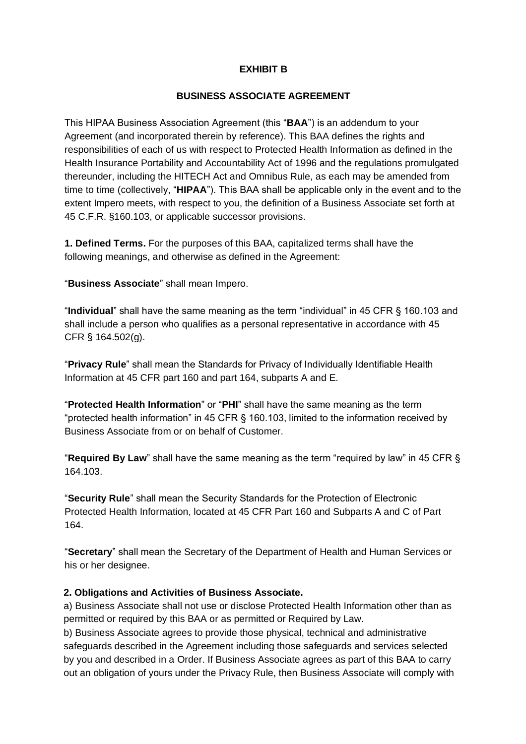## **EXHIBIT B**

## **BUSINESS ASSOCIATE AGREEMENT**

This HIPAA Business Association Agreement (this "**BAA**") is an addendum to your Agreement (and incorporated therein by reference). This BAA defines the rights and responsibilities of each of us with respect to Protected Health Information as defined in the Health Insurance Portability and Accountability Act of 1996 and the regulations promulgated thereunder, including the HITECH Act and Omnibus Rule, as each may be amended from time to time (collectively, "**HIPAA**"). This BAA shall be applicable only in the event and to the extent Impero meets, with respect to you, the definition of a Business Associate set forth at 45 C.F.R. §160.103, or applicable successor provisions.

**1. Defined Terms.** For the purposes of this BAA, capitalized terms shall have the following meanings, and otherwise as defined in the Agreement:

"**Business Associate**" shall mean Impero.

"**Individual**" shall have the same meaning as the term "individual" in 45 CFR § 160.103 and shall include a person who qualifies as a personal representative in accordance with 45 CFR § 164.502(g).

"**Privacy Rule**" shall mean the Standards for Privacy of Individually Identifiable Health Information at 45 CFR part 160 and part 164, subparts A and E.

"**Protected Health Information**" or "**PHI**" shall have the same meaning as the term "protected health information" in 45 CFR § 160.103, limited to the information received by Business Associate from or on behalf of Customer.

"**Required By Law**" shall have the same meaning as the term "required by law" in 45 CFR § 164.103.

"**Security Rule**" shall mean the Security Standards for the Protection of Electronic Protected Health Information, located at 45 CFR Part 160 and Subparts A and C of Part 164.

"**Secretary**" shall mean the Secretary of the Department of Health and Human Services or his or her designee.

## **2. Obligations and Activities of Business Associate.**

a) Business Associate shall not use or disclose Protected Health Information other than as permitted or required by this BAA or as permitted or Required by Law.

b) Business Associate agrees to provide those physical, technical and administrative safeguards described in the Agreement including those safeguards and services selected by you and described in a Order. If Business Associate agrees as part of this BAA to carry out an obligation of yours under the Privacy Rule, then Business Associate will comply with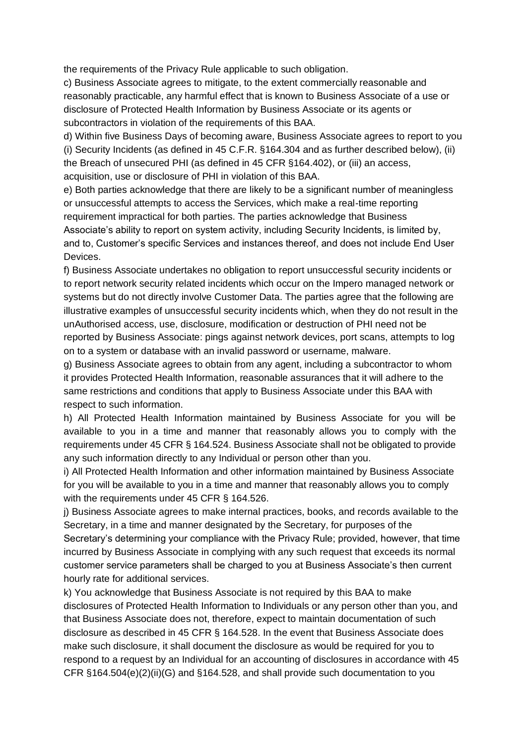the requirements of the Privacy Rule applicable to such obligation.

c) Business Associate agrees to mitigate, to the extent commercially reasonable and reasonably practicable, any harmful effect that is known to Business Associate of a use or disclosure of Protected Health Information by Business Associate or its agents or subcontractors in violation of the requirements of this BAA.

d) Within five Business Days of becoming aware, Business Associate agrees to report to you (i) Security Incidents (as defined in 45 C.F.R. §164.304 and as further described below), (ii) the Breach of unsecured PHI (as defined in 45 CFR §164.402), or (iii) an access, acquisition, use or disclosure of PHI in violation of this BAA.

e) Both parties acknowledge that there are likely to be a significant number of meaningless or unsuccessful attempts to access the Services, which make a real-time reporting requirement impractical for both parties. The parties acknowledge that Business Associate's ability to report on system activity, including Security Incidents, is limited by, and to, Customer's specific Services and instances thereof, and does not include End User Devices.

f) Business Associate undertakes no obligation to report unsuccessful security incidents or to report network security related incidents which occur on the Impero managed network or systems but do not directly involve Customer Data. The parties agree that the following are illustrative examples of unsuccessful security incidents which, when they do not result in the unAuthorised access, use, disclosure, modification or destruction of PHI need not be reported by Business Associate: pings against network devices, port scans, attempts to log on to a system or database with an invalid password or username, malware.

g) Business Associate agrees to obtain from any agent, including a subcontractor to whom it provides Protected Health Information, reasonable assurances that it will adhere to the same restrictions and conditions that apply to Business Associate under this BAA with respect to such information.

h) All Protected Health Information maintained by Business Associate for you will be available to you in a time and manner that reasonably allows you to comply with the requirements under 45 CFR § 164.524. Business Associate shall not be obligated to provide any such information directly to any Individual or person other than you.

i) All Protected Health Information and other information maintained by Business Associate for you will be available to you in a time and manner that reasonably allows you to comply with the requirements under 45 CFR § 164.526.

j) Business Associate agrees to make internal practices, books, and records available to the Secretary, in a time and manner designated by the Secretary, for purposes of the Secretary's determining your compliance with the Privacy Rule; provided, however, that time incurred by Business Associate in complying with any such request that exceeds its normal customer service parameters shall be charged to you at Business Associate's then current hourly rate for additional services.

k) You acknowledge that Business Associate is not required by this BAA to make disclosures of Protected Health Information to Individuals or any person other than you, and that Business Associate does not, therefore, expect to maintain documentation of such disclosure as described in 45 CFR § 164.528. In the event that Business Associate does make such disclosure, it shall document the disclosure as would be required for you to respond to a request by an Individual for an accounting of disclosures in accordance with 45 CFR §164.504(e)(2)(ii)(G) and §164.528, and shall provide such documentation to you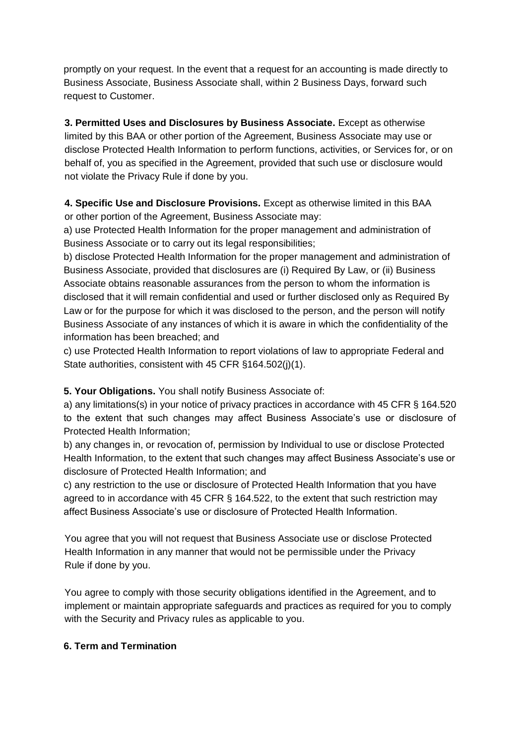promptly on your request. In the event that a request for an accounting is made directly to Business Associate, Business Associate shall, within 2 Business Days, forward such request to Customer.

**3. Permitted Uses and Disclosures by Business Associate.** Except as otherwise limited by this BAA or other portion of the Agreement, Business Associate may use or disclose Protected Health Information to perform functions, activities, or Services for, or on behalf of, you as specified in the Agreement, provided that such use or disclosure would not violate the Privacy Rule if done by you.

**4. Specific Use and Disclosure Provisions.** Except as otherwise limited in this BAA or other portion of the Agreement, Business Associate may:

a) use Protected Health Information for the proper management and administration of Business Associate or to carry out its legal responsibilities;

b) disclose Protected Health Information for the proper management and administration of Business Associate, provided that disclosures are (i) Required By Law, or (ii) Business Associate obtains reasonable assurances from the person to whom the information is disclosed that it will remain confidential and used or further disclosed only as Required By Law or for the purpose for which it was disclosed to the person, and the person will notify Business Associate of any instances of which it is aware in which the confidentiality of the information has been breached; and

c) use Protected Health Information to report violations of law to appropriate Federal and State authorities, consistent with 45 CFR §164.502(j)(1).

**5. Your Obligations.** You shall notify Business Associate of:

a) any limitations(s) in your notice of privacy practices in accordance with 45 CFR § 164.520 to the extent that such changes may affect Business Associate's use or disclosure of Protected Health Information;

b) any changes in, or revocation of, permission by Individual to use or disclose Protected Health Information, to the extent that such changes may affect Business Associate's use or disclosure of Protected Health Information; and

c) any restriction to the use or disclosure of Protected Health Information that you have agreed to in accordance with 45 CFR § 164.522, to the extent that such restriction may affect Business Associate's use or disclosure of Protected Health Information.

You agree that you will not request that Business Associate use or disclose Protected Health Information in any manner that would not be permissible under the Privacy Rule if done by you.

You agree to comply with those security obligations identified in the Agreement, and to implement or maintain appropriate safeguards and practices as required for you to comply with the Security and Privacy rules as applicable to you.

## **6. Term and Termination**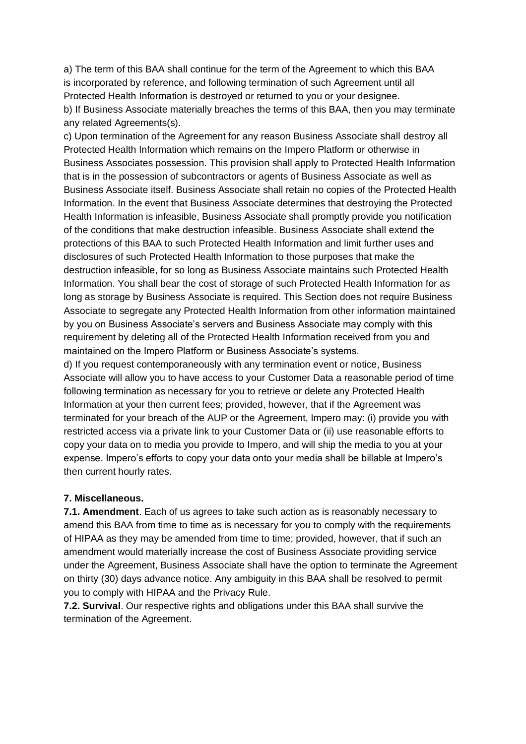a) The term of this BAA shall continue for the term of the Agreement to which this BAA is incorporated by reference, and following termination of such Agreement until all Protected Health Information is destroyed or returned to you or your designee. b) If Business Associate materially breaches the terms of this BAA, then you may terminate any related Agreements(s).

c) Upon termination of the Agreement for any reason Business Associate shall destroy all Protected Health Information which remains on the Impero Platform or otherwise in Business Associates possession. This provision shall apply to Protected Health Information that is in the possession of subcontractors or agents of Business Associate as well as Business Associate itself. Business Associate shall retain no copies of the Protected Health Information. In the event that Business Associate determines that destroying the Protected Health Information is infeasible, Business Associate shall promptly provide you notification of the conditions that make destruction infeasible. Business Associate shall extend the protections of this BAA to such Protected Health Information and limit further uses and disclosures of such Protected Health Information to those purposes that make the destruction infeasible, for so long as Business Associate maintains such Protected Health Information. You shall bear the cost of storage of such Protected Health Information for as long as storage by Business Associate is required. This Section does not require Business Associate to segregate any Protected Health Information from other information maintained by you on Business Associate's servers and Business Associate may comply with this requirement by deleting all of the Protected Health Information received from you and maintained on the Impero Platform or Business Associate's systems.

d) If you request contemporaneously with any termination event or notice, Business Associate will allow you to have access to your Customer Data a reasonable period of time following termination as necessary for you to retrieve or delete any Protected Health Information at your then current fees; provided, however, that if the Agreement was terminated for your breach of the AUP or the Agreement, Impero may: (i) provide you with restricted access via a private link to your Customer Data or (ii) use reasonable efforts to copy your data on to media you provide to Impero, and will ship the media to you at your expense. Impero's efforts to copy your data onto your media shall be billable at Impero's then current hourly rates.

### **7. Miscellaneous.**

**7.1. Amendment**. Each of us agrees to take such action as is reasonably necessary to amend this BAA from time to time as is necessary for you to comply with the requirements of HIPAA as they may be amended from time to time; provided, however, that if such an amendment would materially increase the cost of Business Associate providing service under the Agreement, Business Associate shall have the option to terminate the Agreement on thirty (30) days advance notice. Any ambiguity in this BAA shall be resolved to permit you to comply with HIPAA and the Privacy Rule.

**7.2. Survival**. Our respective rights and obligations under this BAA shall survive the termination of the Agreement.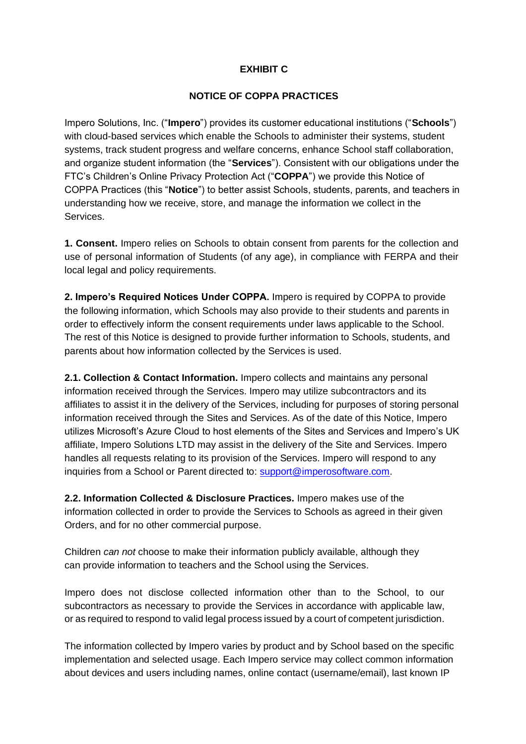## **EXHIBIT C**

## **NOTICE OF COPPA PRACTICES**

Impero Solutions, Inc. ("**Impero**") provides its customer educational institutions ("**Schools**") with cloud-based services which enable the Schools to administer their systems, student systems, track student progress and welfare concerns, enhance School staff collaboration, and organize student information (the "**Services**"). Consistent with our obligations under the FTC's Children's Online Privacy Protection Act ("**COPPA**") we provide this Notice of COPPA Practices (this "**Notice**") to better assist Schools, students, parents, and teachers in understanding how we receive, store, and manage the information we collect in the Services.

**1. Consent.** Impero relies on Schools to obtain consent from parents for the collection and use of personal information of Students (of any age), in compliance with FERPA and their local legal and policy requirements.

**2. Impero's Required Notices Under COPPA.** Impero is required by COPPA to provide the following information, which Schools may also provide to their students and parents in order to effectively inform the consent requirements under laws applicable to the School. The rest of this Notice is designed to provide further information to Schools, students, and parents about how information collected by the Services is used.

**2.1. Collection & Contact Information.** Impero collects and maintains any personal information received through the Services. Impero may utilize subcontractors and its affiliates to assist it in the delivery of the Services, including for purposes of storing personal information received through the Sites and Services. As of the date of this Notice, Impero utilizes Microsoft's Azure Cloud to host elements of the Sites and Services and Impero's UK affiliate, Impero Solutions LTD may assist in the delivery of the Site and Services. Impero handles all requests relating to its provision of the Services. Impero will respond to any inquiries from a School or Parent directed to: support@imperosoftware.com.

**2.2. Information Collected & Disclosure Practices.** Impero makes use of the information collected in order to provide the Services to Schools as agreed in their given Orders, and for no other commercial purpose.

Children *can not* choose to make their information publicly available, although they can provide information to teachers and the School using the Services.

Impero does not disclose collected information other than to the School, to our subcontractors as necessary to provide the Services in accordance with applicable law, or as required to respond to valid legal process issued by a court of competent jurisdiction.

The information collected by Impero varies by product and by School based on the specific implementation and selected usage. Each Impero service may collect common information about devices and users including names, online contact (username/email), last known IP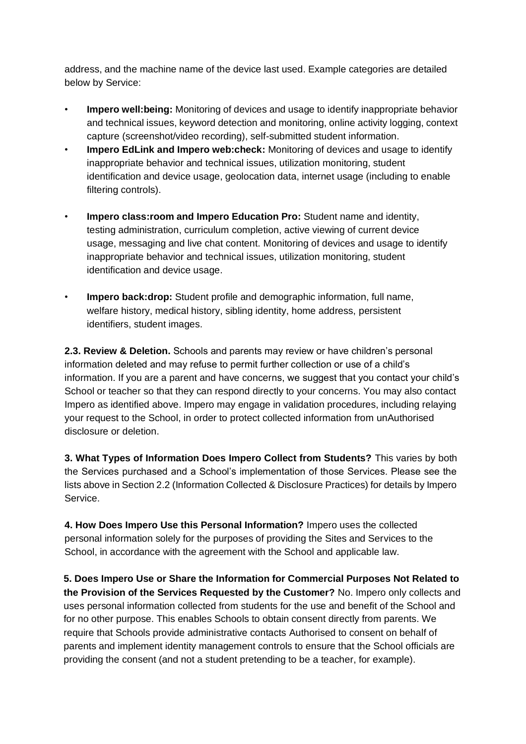address, and the machine name of the device last used. Example categories are detailed below by Service:

- **Impero well:being:** Monitoring of devices and usage to identify inappropriate behavior and technical issues, keyword detection and monitoring, online activity logging, context capture (screenshot/video recording), self-submitted student information.
- **Impero EdLink and Impero web:check:** Monitoring of devices and usage to identify inappropriate behavior and technical issues, utilization monitoring, student identification and device usage, geolocation data, internet usage (including to enable filtering controls).
- **Impero class:room and Impero Education Pro:** Student name and identity, testing administration, curriculum completion, active viewing of current device usage, messaging and live chat content. Monitoring of devices and usage to identify inappropriate behavior and technical issues, utilization monitoring, student identification and device usage.
- **Impero back:drop:** Student profile and demographic information, full name, welfare history, medical history, sibling identity, home address, persistent identifiers, student images.

**2.3. Review & Deletion.** Schools and parents may review or have children's personal information deleted and may refuse to permit further collection or use of a child's information. If you are a parent and have concerns, we suggest that you contact your child's School or teacher so that they can respond directly to your concerns. You may also contact Impero as identified above. Impero may engage in validation procedures, including relaying your request to the School, in order to protect collected information from unAuthorised disclosure or deletion.

**3. What Types of Information Does Impero Collect from Students?** This varies by both the Services purchased and a School's implementation of those Services. Please see the lists above in Section 2.2 (Information Collected & Disclosure Practices) for details by Impero Service.

**4. How Does Impero Use this Personal Information?** Impero uses the collected personal information solely for the purposes of providing the Sites and Services to the School, in accordance with the agreement with the School and applicable law.

**5. Does Impero Use or Share the Information for Commercial Purposes Not Related to the Provision of the Services Requested by the Customer?** No. Impero only collects and uses personal information collected from students for the use and benefit of the School and for no other purpose. This enables Schools to obtain consent directly from parents. We require that Schools provide administrative contacts Authorised to consent on behalf of parents and implement identity management controls to ensure that the School officials are providing the consent (and not a student pretending to be a teacher, for example).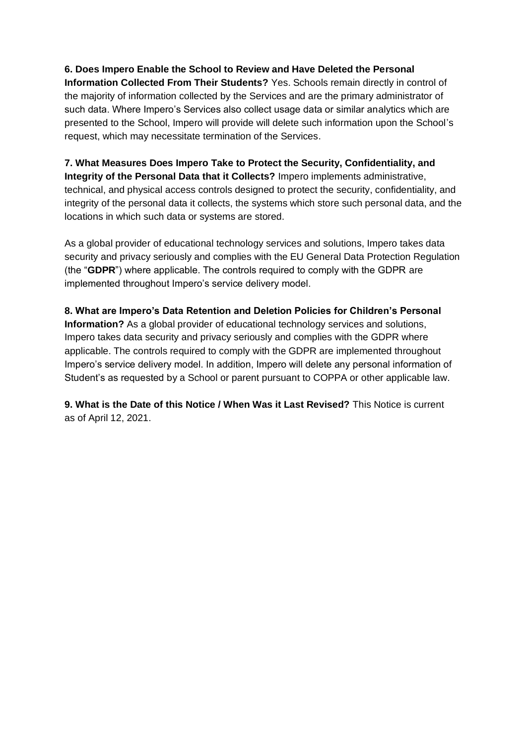## **6. Does Impero Enable the School to Review and Have Deleted the Personal**

**Information Collected From Their Students?** Yes. Schools remain directly in control of the majority of information collected by the Services and are the primary administrator of such data. Where Impero's Services also collect usage data or similar analytics which are presented to the School, Impero will provide will delete such information upon the School's request, which may necessitate termination of the Services.

# **7. What Measures Does Impero Take to Protect the Security, Confidentiality, and Integrity of the Personal Data that it Collects?** Impero implements administrative, technical, and physical access controls designed to protect the security, confidentiality, and integrity of the personal data it collects, the systems which store such personal data, and the locations in which such data or systems are stored.

As a global provider of educational technology services and solutions, Impero takes data security and privacy seriously and complies with the EU General Data Protection Regulation (the "**GDPR**") where applicable. The controls required to comply with the GDPR are implemented throughout Impero's service delivery model.

**8. What are Impero's Data Retention and Deletion Policies for Children's Personal Information?** As a global provider of educational technology services and solutions, Impero takes data security and privacy seriously and complies with the GDPR where applicable. The controls required to comply with the GDPR are implemented throughout Impero's service delivery model. In addition, Impero will delete any personal information of Student's as requested by a School or parent pursuant to COPPA or other applicable law.

**9. What is the Date of this Notice / When Was it Last Revised?** This Notice is current as of April 12, 2021.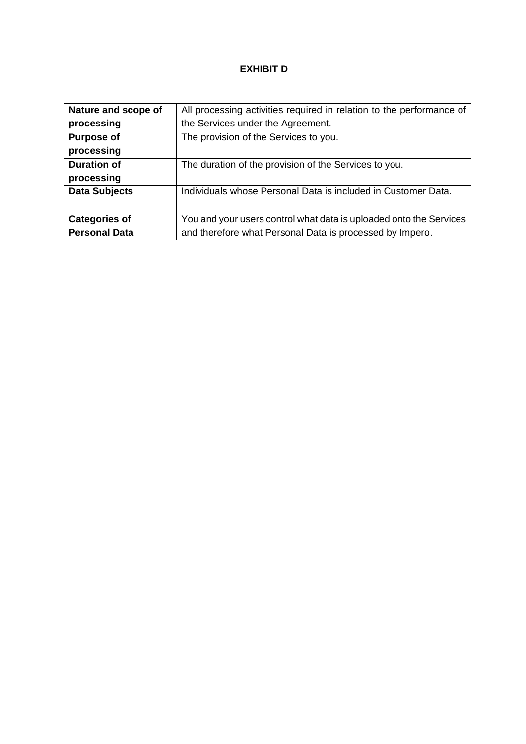# **EXHIBIT D**

| Nature and scope of  | All processing activities required in relation to the performance of |
|----------------------|----------------------------------------------------------------------|
| processing           | the Services under the Agreement.                                    |
| <b>Purpose of</b>    | The provision of the Services to you.                                |
| processing           |                                                                      |
| <b>Duration of</b>   | The duration of the provision of the Services to you.                |
| processing           |                                                                      |
| <b>Data Subjects</b> | Individuals whose Personal Data is included in Customer Data.        |
|                      |                                                                      |
| <b>Categories of</b> | You and your users control what data is uploaded onto the Services   |
| <b>Personal Data</b> | and therefore what Personal Data is processed by Impero.             |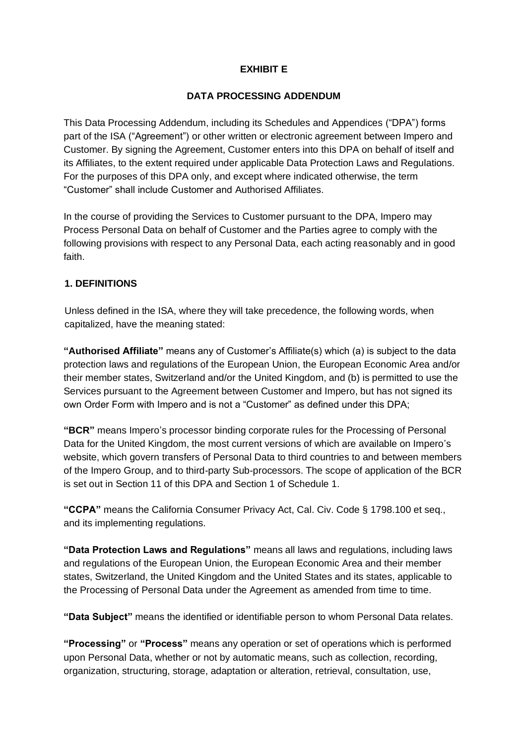# **EXHIBIT E**

## **DATA PROCESSING ADDENDUM**

This Data Processing Addendum, including its Schedules and Appendices ("DPA") forms part of the ISA ("Agreement") or other written or electronic agreement between Impero and Customer. By signing the Agreement, Customer enters into this DPA on behalf of itself and its Affiliates, to the extent required under applicable Data Protection Laws and Regulations. For the purposes of this DPA only, and except where indicated otherwise, the term "Customer" shall include Customer and Authorised Affiliates.

In the course of providing the Services to Customer pursuant to the DPA, Impero may Process Personal Data on behalf of Customer and the Parties agree to comply with the following provisions with respect to any Personal Data, each acting reasonably and in good faith.

### **1. DEFINITIONS**

Unless defined in the ISA, where they will take precedence, the following words, when capitalized, have the meaning stated:

**"Authorised Affiliate"** means any of Customer's Affiliate(s) which (a) is subject to the data protection laws and regulations of the European Union, the European Economic Area and/or their member states, Switzerland and/or the United Kingdom, and (b) is permitted to use the Services pursuant to the Agreement between Customer and Impero, but has not signed its own Order Form with Impero and is not a "Customer" as defined under this DPA;

**"BCR"** means Impero's processor binding corporate rules for the Processing of Personal Data for the United Kingdom, the most current versions of which are available on Impero's website, which govern transfers of Personal Data to third countries to and between members of the Impero Group, and to third-party Sub-processors. The scope of application of the BCR is set out in Section 11 of this DPA and Section 1 of Schedule 1.

**"CCPA"** means the California Consumer Privacy Act, Cal. Civ. Code § 1798.100 et seq., and its implementing regulations.

**"Data Protection Laws and Regulations"** means all laws and regulations, including laws and regulations of the European Union, the European Economic Area and their member states, Switzerland, the United Kingdom and the United States and its states, applicable to the Processing of Personal Data under the Agreement as amended from time to time.

**"Data Subject"** means the identified or identifiable person to whom Personal Data relates.

**"Processing"** or **"Process"** means any operation or set of operations which is performed upon Personal Data, whether or not by automatic means, such as collection, recording, organization, structuring, storage, adaptation or alteration, retrieval, consultation, use,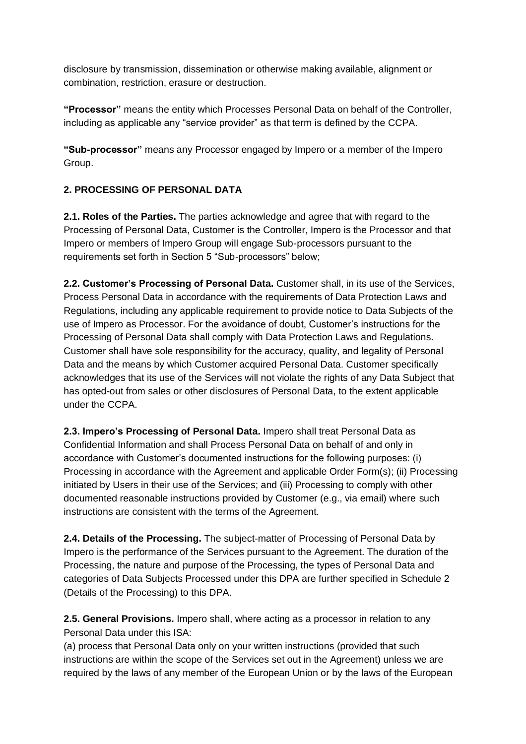disclosure by transmission, dissemination or otherwise making available, alignment or combination, restriction, erasure or destruction.

**"Processor"** means the entity which Processes Personal Data on behalf of the Controller, including as applicable any "service provider" as that term is defined by the CCPA.

**"Sub-processor"** means any Processor engaged by Impero or a member of the Impero Group.

# **2. PROCESSING OF PERSONAL DATA**

**2.1. Roles of the Parties.** The parties acknowledge and agree that with regard to the Processing of Personal Data, Customer is the Controller, Impero is the Processor and that Impero or members of Impero Group will engage Sub-processors pursuant to the requirements set forth in Section 5 "Sub-processors" below;

**2.2. Customer's Processing of Personal Data.** Customer shall, in its use of the Services, Process Personal Data in accordance with the requirements of Data Protection Laws and Regulations, including any applicable requirement to provide notice to Data Subjects of the use of Impero as Processor. For the avoidance of doubt, Customer's instructions for the Processing of Personal Data shall comply with Data Protection Laws and Regulations. Customer shall have sole responsibility for the accuracy, quality, and legality of Personal Data and the means by which Customer acquired Personal Data. Customer specifically acknowledges that its use of the Services will not violate the rights of any Data Subject that has opted-out from sales or other disclosures of Personal Data, to the extent applicable under the CCPA.

**2.3. Impero's Processing of Personal Data.** Impero shall treat Personal Data as Confidential Information and shall Process Personal Data on behalf of and only in accordance with Customer's documented instructions for the following purposes: (i) Processing in accordance with the Agreement and applicable Order Form(s); (ii) Processing initiated by Users in their use of the Services; and (iii) Processing to comply with other documented reasonable instructions provided by Customer (e.g., via email) where such instructions are consistent with the terms of the Agreement.

**2.4. Details of the Processing.** The subject-matter of Processing of Personal Data by Impero is the performance of the Services pursuant to the Agreement. The duration of the Processing, the nature and purpose of the Processing, the types of Personal Data and categories of Data Subjects Processed under this DPA are further specified in Schedule 2 (Details of the Processing) to this DPA.

**2.5. General Provisions.** Impero shall, where acting as a processor in relation to any Personal Data under this ISA:

(a) process that Personal Data only on your written instructions (provided that such instructions are within the scope of the Services set out in the Agreement) unless we are required by the laws of any member of the European Union or by the laws of the European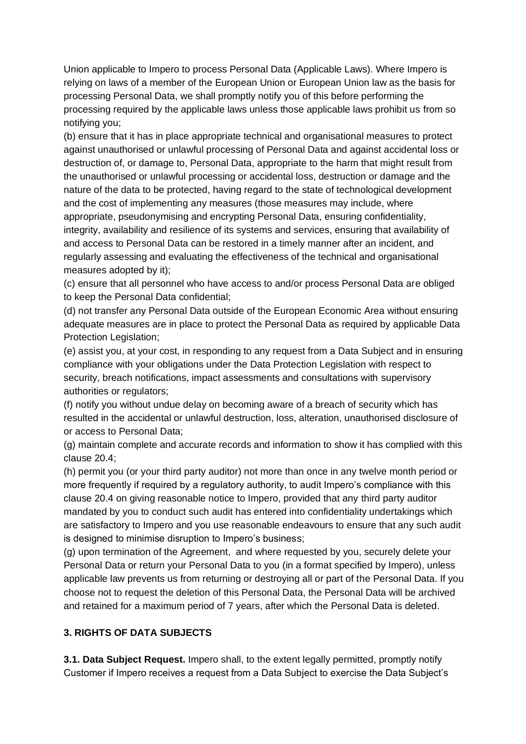Union applicable to Impero to process Personal Data (Applicable Laws). Where Impero is relying on laws of a member of the European Union or European Union law as the basis for processing Personal Data, we shall promptly notify you of this before performing the processing required by the applicable laws unless those applicable laws prohibit us from so notifying you;

(b) ensure that it has in place appropriate technical and organisational measures to protect against unauthorised or unlawful processing of Personal Data and against accidental loss or destruction of, or damage to, Personal Data, appropriate to the harm that might result from the unauthorised or unlawful processing or accidental loss, destruction or damage and the nature of the data to be protected, having regard to the state of technological development and the cost of implementing any measures (those measures may include, where appropriate, pseudonymising and encrypting Personal Data, ensuring confidentiality, integrity, availability and resilience of its systems and services, ensuring that availability of and access to Personal Data can be restored in a timely manner after an incident, and regularly assessing and evaluating the effectiveness of the technical and organisational measures adopted by it);

(c) ensure that all personnel who have access to and/or process Personal Data are obliged to keep the Personal Data confidential;

(d) not transfer any Personal Data outside of the European Economic Area without ensuring adequate measures are in place to protect the Personal Data as required by applicable Data Protection Legislation;

(e) assist you, at your cost, in responding to any request from a Data Subject and in ensuring compliance with your obligations under the Data Protection Legislation with respect to security, breach notifications, impact assessments and consultations with supervisory authorities or regulators;

(f) notify you without undue delay on becoming aware of a breach of security which has resulted in the accidental or unlawful destruction, loss, alteration, unauthorised disclosure of or access to Personal Data;

(g) maintain complete and accurate records and information to show it has complied with this clause 20.4;

(h) permit you (or your third party auditor) not more than once in any twelve month period or more frequently if required by a regulatory authority, to audit Impero's compliance with this clause 20.4 on giving reasonable notice to Impero, provided that any third party auditor mandated by you to conduct such audit has entered into confidentiality undertakings which are satisfactory to Impero and you use reasonable endeavours to ensure that any such audit is designed to minimise disruption to Impero's business;

(g) upon termination of the Agreement, and where requested by you, securely delete your Personal Data or return your Personal Data to you (in a format specified by Impero), unless applicable law prevents us from returning or destroying all or part of the Personal Data. If you choose not to request the deletion of this Personal Data, the Personal Data will be archived and retained for a maximum period of 7 years, after which the Personal Data is deleted.

# **3. RIGHTS OF DATA SUBJECTS**

**3.1. Data Subject Request.** Impero shall, to the extent legally permitted, promptly notify Customer if Impero receives a request from a Data Subject to exercise the Data Subject's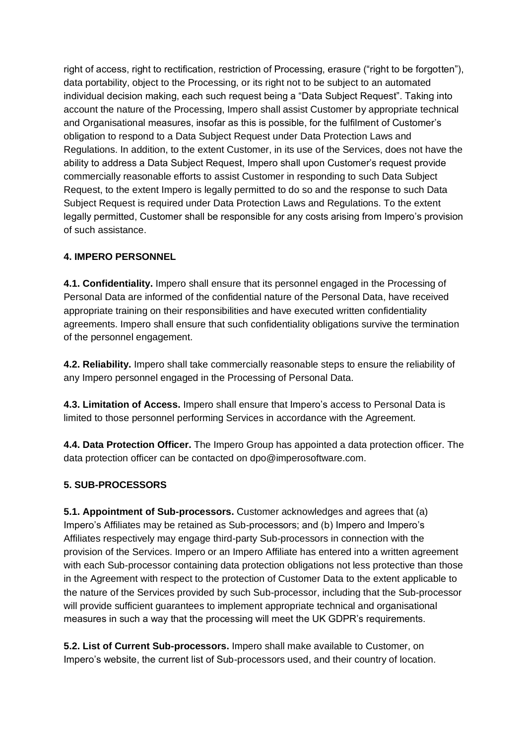right of access, right to rectification, restriction of Processing, erasure ("right to be forgotten"), data portability, object to the Processing, or its right not to be subject to an automated individual decision making, each such request being a "Data Subject Request". Taking into account the nature of the Processing, Impero shall assist Customer by appropriate technical and Organisational measures, insofar as this is possible, for the fulfilment of Customer's obligation to respond to a Data Subject Request under Data Protection Laws and Regulations. In addition, to the extent Customer, in its use of the Services, does not have the ability to address a Data Subject Request, Impero shall upon Customer's request provide commercially reasonable efforts to assist Customer in responding to such Data Subject Request, to the extent Impero is legally permitted to do so and the response to such Data Subject Request is required under Data Protection Laws and Regulations. To the extent legally permitted, Customer shall be responsible for any costs arising from Impero's provision of such assistance.

# **4. IMPERO PERSONNEL**

**4.1. Confidentiality.** Impero shall ensure that its personnel engaged in the Processing of Personal Data are informed of the confidential nature of the Personal Data, have received appropriate training on their responsibilities and have executed written confidentiality agreements. Impero shall ensure that such confidentiality obligations survive the termination of the personnel engagement.

**4.2. Reliability.** Impero shall take commercially reasonable steps to ensure the reliability of any Impero personnel engaged in the Processing of Personal Data.

**4.3. Limitation of Access.** Impero shall ensure that Impero's access to Personal Data is limited to those personnel performing Services in accordance with the Agreement.

**4.4. Data Protection Officer.** The Impero Group has appointed a data protection officer. The data protection officer can be contacted on dpo@imperosoftware.com.

## **5. SUB-PROCESSORS**

**5.1. Appointment of Sub-processors.** Customer acknowledges and agrees that (a) Impero's Affiliates may be retained as Sub-processors; and (b) Impero and Impero's Affiliates respectively may engage third-party Sub-processors in connection with the provision of the Services. Impero or an Impero Affiliate has entered into a written agreement with each Sub-processor containing data protection obligations not less protective than those in the Agreement with respect to the protection of Customer Data to the extent applicable to the nature of the Services provided by such Sub-processor, including that the Sub-processor will provide sufficient guarantees to implement appropriate technical and organisational measures in such a way that the processing will meet the UK GDPR's requirements.

**5.2. List of Current Sub-processors.** Impero shall make available to Customer, on Impero's website, the current list of Sub-processors used, and their country of location.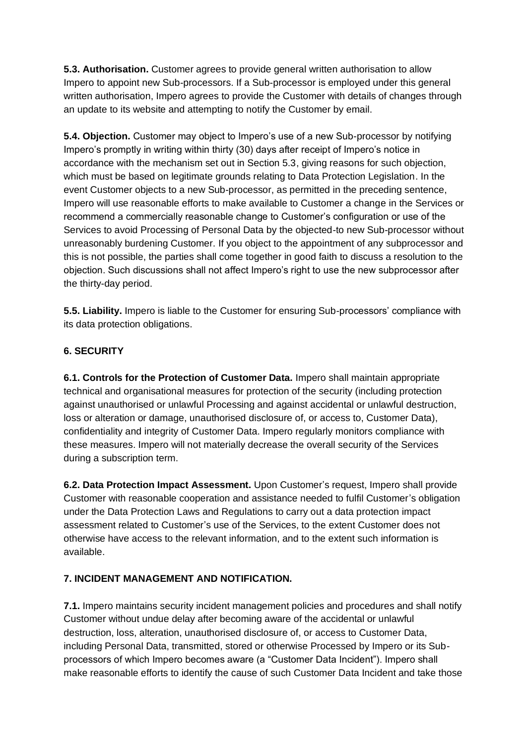**5.3. Authorisation.** Customer agrees to provide general written authorisation to allow Impero to appoint new Sub-processors. If a Sub-processor is employed under this general written authorisation, Impero agrees to provide the Customer with details of changes through an update to its website and attempting to notify the Customer by email.

**5.4. Objection.** Customer may object to Impero's use of a new Sub-processor by notifying Impero's promptly in writing within thirty (30) days after receipt of Impero's notice in accordance with the mechanism set out in Section 5.3, giving reasons for such objection, which must be based on legitimate grounds relating to Data Protection Legislation. In the event Customer objects to a new Sub-processor, as permitted in the preceding sentence, Impero will use reasonable efforts to make available to Customer a change in the Services or recommend a commercially reasonable change to Customer's configuration or use of the Services to avoid Processing of Personal Data by the objected-to new Sub-processor without unreasonably burdening Customer. If you object to the appointment of any subprocessor and this is not possible, the parties shall come together in good faith to discuss a resolution to the objection. Such discussions shall not affect Impero's right to use the new subprocessor after the thirty-day period.

**5.5. Liability.** Impero is liable to the Customer for ensuring Sub-processors' compliance with its data protection obligations.

# **6. SECURITY**

**6.1. Controls for the Protection of Customer Data.** Impero shall maintain appropriate technical and organisational measures for protection of the security (including protection against unauthorised or unlawful Processing and against accidental or unlawful destruction, loss or alteration or damage, unauthorised disclosure of, or access to, Customer Data), confidentiality and integrity of Customer Data. Impero regularly monitors compliance with these measures. Impero will not materially decrease the overall security of the Services during a subscription term.

**6.2. Data Protection Impact Assessment.** Upon Customer's request, Impero shall provide Customer with reasonable cooperation and assistance needed to fulfil Customer's obligation under the Data Protection Laws and Regulations to carry out a data protection impact assessment related to Customer's use of the Services, to the extent Customer does not otherwise have access to the relevant information, and to the extent such information is available.

## **7. INCIDENT MANAGEMENT AND NOTIFICATION.**

**7.1.** Impero maintains security incident management policies and procedures and shall notify Customer without undue delay after becoming aware of the accidental or unlawful destruction, loss, alteration, unauthorised disclosure of, or access to Customer Data, including Personal Data, transmitted, stored or otherwise Processed by Impero or its Subprocessors of which Impero becomes aware (a "Customer Data Incident"). Impero shall make reasonable efforts to identify the cause of such Customer Data Incident and take those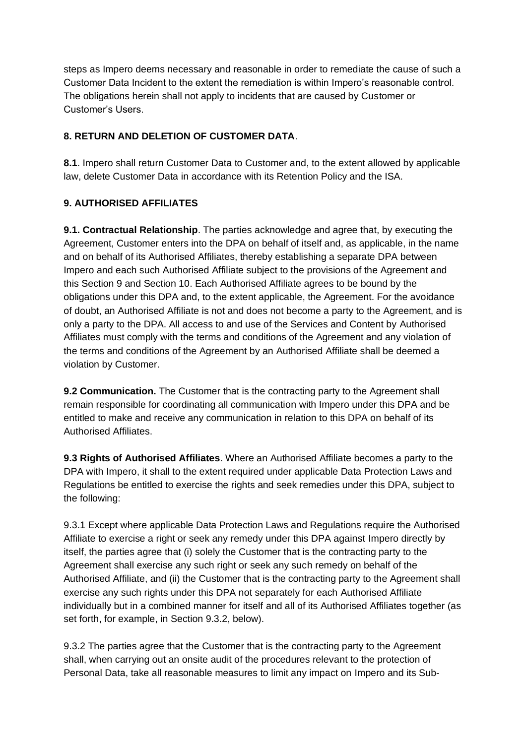steps as Impero deems necessary and reasonable in order to remediate the cause of such a Customer Data Incident to the extent the remediation is within Impero's reasonable control. The obligations herein shall not apply to incidents that are caused by Customer or Customer's Users.

# **8. RETURN AND DELETION OF CUSTOMER DATA**.

**8.1**. Impero shall return Customer Data to Customer and, to the extent allowed by applicable law, delete Customer Data in accordance with its Retention Policy and the ISA.

# **9. AUTHORISED AFFILIATES**

**9.1. Contractual Relationship**. The parties acknowledge and agree that, by executing the Agreement, Customer enters into the DPA on behalf of itself and, as applicable, in the name and on behalf of its Authorised Affiliates, thereby establishing a separate DPA between Impero and each such Authorised Affiliate subject to the provisions of the Agreement and this Section 9 and Section 10. Each Authorised Affiliate agrees to be bound by the obligations under this DPA and, to the extent applicable, the Agreement. For the avoidance of doubt, an Authorised Affiliate is not and does not become a party to the Agreement, and is only a party to the DPA. All access to and use of the Services and Content by Authorised Affiliates must comply with the terms and conditions of the Agreement and any violation of the terms and conditions of the Agreement by an Authorised Affiliate shall be deemed a violation by Customer.

**9.2 Communication.** The Customer that is the contracting party to the Agreement shall remain responsible for coordinating all communication with Impero under this DPA and be entitled to make and receive any communication in relation to this DPA on behalf of its Authorised Affiliates.

**9.3 Rights of Authorised Affiliates**. Where an Authorised Affiliate becomes a party to the DPA with Impero, it shall to the extent required under applicable Data Protection Laws and Regulations be entitled to exercise the rights and seek remedies under this DPA, subject to the following:

9.3.1 Except where applicable Data Protection Laws and Regulations require the Authorised Affiliate to exercise a right or seek any remedy under this DPA against Impero directly by itself, the parties agree that (i) solely the Customer that is the contracting party to the Agreement shall exercise any such right or seek any such remedy on behalf of the Authorised Affiliate, and (ii) the Customer that is the contracting party to the Agreement shall exercise any such rights under this DPA not separately for each Authorised Affiliate individually but in a combined manner for itself and all of its Authorised Affiliates together (as set forth, for example, in Section 9.3.2, below).

9.3.2 The parties agree that the Customer that is the contracting party to the Agreement shall, when carrying out an onsite audit of the procedures relevant to the protection of Personal Data, take all reasonable measures to limit any impact on Impero and its Sub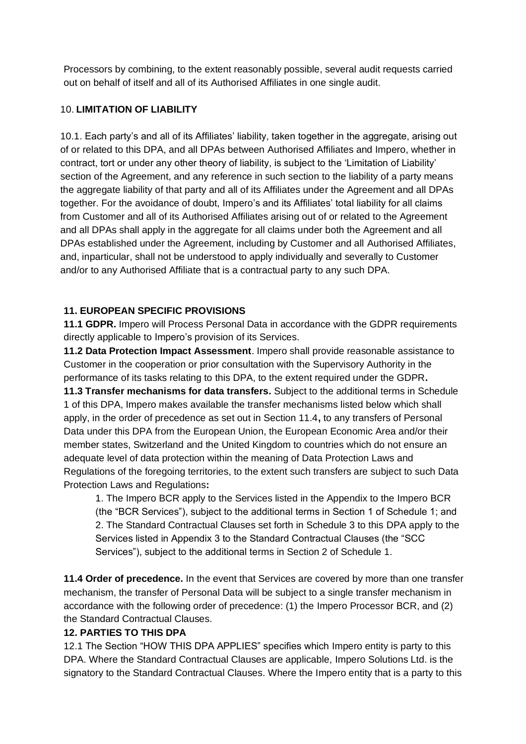Processors by combining, to the extent reasonably possible, several audit requests carried out on behalf of itself and all of its Authorised Affiliates in one single audit.

# 10. **LIMITATION OF LIABILITY**

10.1. Each party's and all of its Affiliates' liability, taken together in the aggregate, arising out of or related to this DPA, and all DPAs between Authorised Affiliates and Impero, whether in contract, tort or under any other theory of liability, is subject to the 'Limitation of Liability' section of the Agreement, and any reference in such section to the liability of a party means the aggregate liability of that party and all of its Affiliates under the Agreement and all DPAs together. For the avoidance of doubt, Impero's and its Affiliates' total liability for all claims from Customer and all of its Authorised Affiliates arising out of or related to the Agreement and all DPAs shall apply in the aggregate for all claims under both the Agreement and all DPAs established under the Agreement, including by Customer and all Authorised Affiliates, and, inparticular, shall not be understood to apply individually and severally to Customer and/or to any Authorised Affiliate that is a contractual party to any such DPA.

# **11. EUROPEAN SPECIFIC PROVISIONS**

**11.1 GDPR.** Impero will Process Personal Data in accordance with the GDPR requirements directly applicable to Impero's provision of its Services.

**11.2 Data Protection Impact Assessment**. Impero shall provide reasonable assistance to Customer in the cooperation or prior consultation with the Supervisory Authority in the performance of its tasks relating to this DPA, to the extent required under the GDPR**. 11.3 Transfer mechanisms for data transfers.** Subject to the additional terms in Schedule 1 of this DPA, Impero makes available the transfer mechanisms listed below which shall apply, in the order of precedence as set out in Section 11.4**,** to any transfers of Personal Data under this DPA from the European Union, the European Economic Area and/or their member states, Switzerland and the United Kingdom to countries which do not ensure an adequate level of data protection within the meaning of Data Protection Laws and Regulations of the foregoing territories, to the extent such transfers are subject to such Data Protection Laws and Regulations**:** 

1. The Impero BCR apply to the Services listed in the Appendix to the Impero BCR (the "BCR Services"), subject to the additional terms in Section 1 of Schedule 1; and 2. The Standard Contractual Clauses set forth in Schedule 3 to this DPA apply to the Services listed in Appendix 3 to the Standard Contractual Clauses (the "SCC Services"), subject to the additional terms in Section 2 of Schedule 1.

**11.4 Order of precedence.** In the event that Services are covered by more than one transfer mechanism, the transfer of Personal Data will be subject to a single transfer mechanism in accordance with the following order of precedence: (1) the Impero Processor BCR, and (2) the Standard Contractual Clauses.

## **12. PARTIES TO THIS DPA**

12.1 The Section "HOW THIS DPA APPLIES" specifies which Impero entity is party to this DPA. Where the Standard Contractual Clauses are applicable, Impero Solutions Ltd. is the signatory to the Standard Contractual Clauses. Where the Impero entity that is a party to this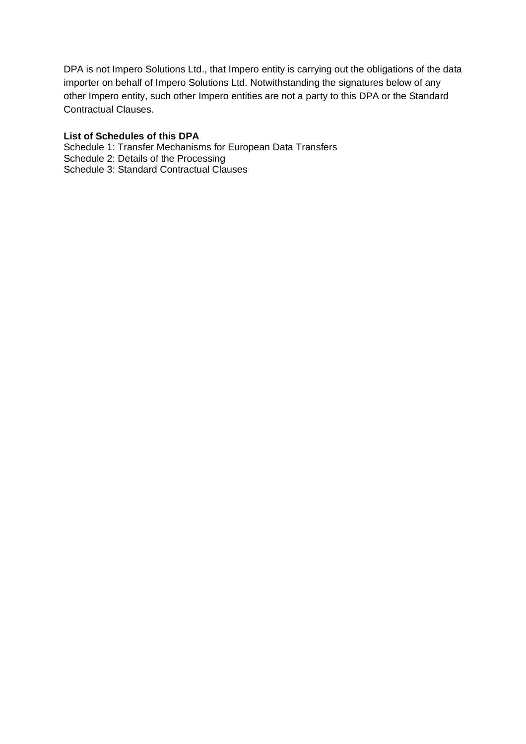DPA is not Impero Solutions Ltd., that Impero entity is carrying out the obligations of the data importer on behalf of Impero Solutions Ltd. Notwithstanding the signatures below of any other Impero entity, such other Impero entities are not a party to this DPA or the Standard Contractual Clauses.

## **List of Schedules of this DPA**

Schedule 1: Transfer Mechanisms for European Data Transfers Schedule 2: Details of the Processing Schedule 3: Standard Contractual Clauses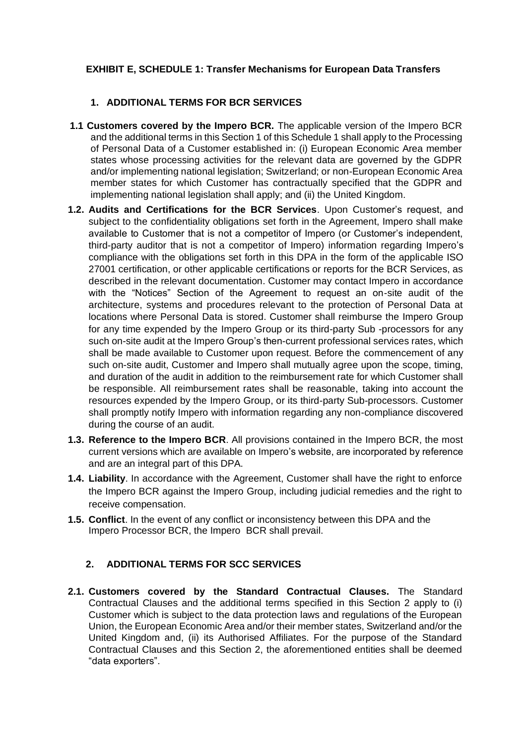## **EXHIBIT E, SCHEDULE 1: Transfer Mechanisms for European Data Transfers**

## **1. ADDITIONAL TERMS FOR BCR SERVICES**

- **1.1 Customers covered by the Impero BCR.** The applicable version of the Impero BCR and the additional terms in this Section 1 of this Schedule 1 shall apply to the Processing of Personal Data of a Customer established in: (i) European Economic Area member states whose processing activities for the relevant data are governed by the GDPR and/or implementing national legislation; Switzerland; or non-European Economic Area member states for which Customer has contractually specified that the GDPR and implementing national legislation shall apply; and (ii) the United Kingdom.
- **1.2. Audits and Certifications for the BCR Services**. Upon Customer's request, and subject to the confidentiality obligations set forth in the Agreement, Impero shall make available to Customer that is not a competitor of Impero (or Customer's independent, third-party auditor that is not a competitor of Impero) information regarding Impero's compliance with the obligations set forth in this DPA in the form of the applicable ISO 27001 certification, or other applicable certifications or reports for the BCR Services, as described in the relevant documentation. Customer may contact Impero in accordance with the "Notices" Section of the Agreement to request an on-site audit of the architecture, systems and procedures relevant to the protection of Personal Data at locations where Personal Data is stored. Customer shall reimburse the Impero Group for any time expended by the Impero Group or its third-party Sub -processors for any such on-site audit at the Impero Group's then-current professional services rates, which shall be made available to Customer upon request. Before the commencement of any such on-site audit, Customer and Impero shall mutually agree upon the scope, timing, and duration of the audit in addition to the reimbursement rate for which Customer shall be responsible. All reimbursement rates shall be reasonable, taking into account the resources expended by the Impero Group, or its third-party Sub-processors. Customer shall promptly notify Impero with information regarding any non-compliance discovered during the course of an audit.
- **1.3. Reference to the Impero BCR**. All provisions contained in the Impero BCR, the most current versions which are available on Impero's website, are incorporated by reference and are an integral part of this DPA.
- **1.4. Liability**. In accordance with the Agreement, Customer shall have the right to enforce the Impero BCR against the Impero Group, including judicial remedies and the right to receive compensation.
- **1.5. Conflict**. In the event of any conflict or inconsistency between this DPA and the Impero Processor BCR, the Impero BCR shall prevail.

# **2. ADDITIONAL TERMS FOR SCC SERVICES**

**2.1. Customers covered by the Standard Contractual Clauses.** The Standard Contractual Clauses and the additional terms specified in this Section 2 apply to (i) Customer which is subject to the data protection laws and regulations of the European Union, the European Economic Area and/or their member states, Switzerland and/or the United Kingdom and, (ii) its Authorised Affiliates. For the purpose of the Standard Contractual Clauses and this Section 2, the aforementioned entities shall be deemed "data exporters".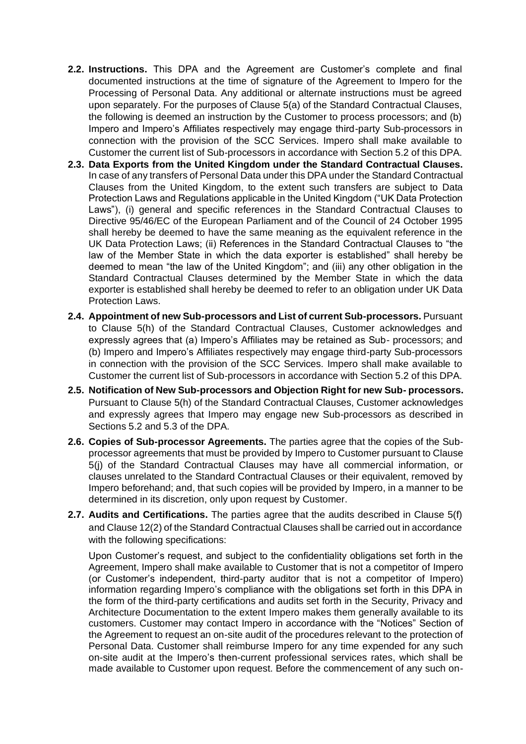- **2.2. Instructions.** This DPA and the Agreement are Customer's complete and final documented instructions at the time of signature of the Agreement to Impero for the Processing of Personal Data. Any additional or alternate instructions must be agreed upon separately. For the purposes of Clause 5(a) of the Standard Contractual Clauses, the following is deemed an instruction by the Customer to process processors; and (b) Impero and Impero's Affiliates respectively may engage third-party Sub-processors in connection with the provision of the SCC Services. Impero shall make available to Customer the current list of Sub-processors in accordance with Section 5.2 of this DPA.
- **2.3. Data Exports from the United Kingdom under the Standard Contractual Clauses.**  In case of any transfers of Personal Data under this DPA under the Standard Contractual Clauses from the United Kingdom, to the extent such transfers are subject to Data Protection Laws and Regulations applicable in the United Kingdom ("UK Data Protection Laws"), (i) general and specific references in the Standard Contractual Clauses to Directive 95/46/EC of the European Parliament and of the Council of 24 October 1995 shall hereby be deemed to have the same meaning as the equivalent reference in the UK Data Protection Laws; (ii) References in the Standard Contractual Clauses to "the law of the Member State in which the data exporter is established" shall hereby be deemed to mean "the law of the United Kingdom"; and (iii) any other obligation in the Standard Contractual Clauses determined by the Member State in which the data exporter is established shall hereby be deemed to refer to an obligation under UK Data Protection Laws.
- **2.4. Appointment of new Sub-processors and List of current Sub-processors.** Pursuant to Clause 5(h) of the Standard Contractual Clauses, Customer acknowledges and expressly agrees that (a) Impero's Affiliates may be retained as Sub- processors; and (b) Impero and Impero's Affiliates respectively may engage third-party Sub-processors in connection with the provision of the SCC Services. Impero shall make available to Customer the current list of Sub-processors in accordance with Section 5.2 of this DPA.
- **2.5. Notification of New Sub-processors and Objection Right for new Sub- processors.**  Pursuant to Clause 5(h) of the Standard Contractual Clauses, Customer acknowledges and expressly agrees that Impero may engage new Sub-processors as described in Sections 5.2 and 5.3 of the DPA.
- **2.6. Copies of Sub-processor Agreements.** The parties agree that the copies of the Subprocessor agreements that must be provided by Impero to Customer pursuant to Clause 5(j) of the Standard Contractual Clauses may have all commercial information, or clauses unrelated to the Standard Contractual Clauses or their equivalent, removed by Impero beforehand; and, that such copies will be provided by Impero, in a manner to be determined in its discretion, only upon request by Customer.
- **2.7. Audits and Certifications.** The parties agree that the audits described in Clause 5(f) and Clause 12(2) of the Standard Contractual Clauses shall be carried out in accordance with the following specifications:

Upon Customer's request, and subject to the confidentiality obligations set forth in the Agreement, Impero shall make available to Customer that is not a competitor of Impero (or Customer's independent, third-party auditor that is not a competitor of Impero) information regarding Impero's compliance with the obligations set forth in this DPA in the form of the third-party certifications and audits set forth in the Security, Privacy and Architecture Documentation to the extent Impero makes them generally available to its customers. Customer may contact Impero in accordance with the "Notices" Section of the Agreement to request an on-site audit of the procedures relevant to the protection of Personal Data. Customer shall reimburse Impero for any time expended for any such on-site audit at the Impero's then-current professional services rates, which shall be made available to Customer upon request. Before the commencement of any such on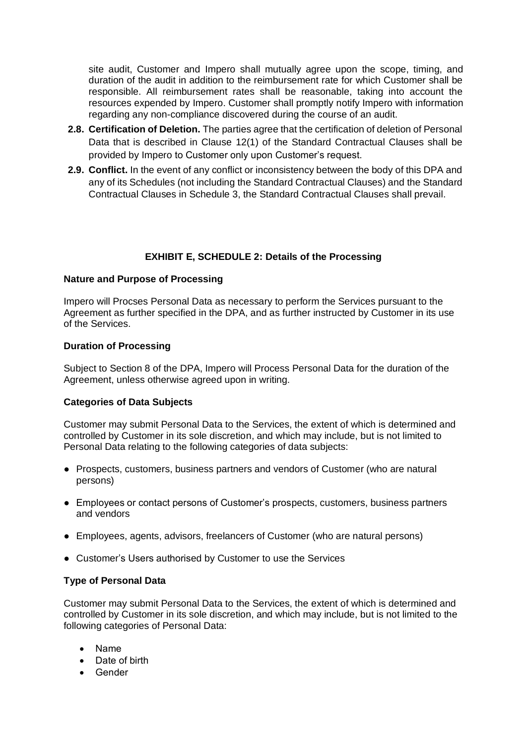site audit, Customer and Impero shall mutually agree upon the scope, timing, and duration of the audit in addition to the reimbursement rate for which Customer shall be responsible. All reimbursement rates shall be reasonable, taking into account the resources expended by Impero. Customer shall promptly notify Impero with information regarding any non-compliance discovered during the course of an audit.

- **2.8. Certification of Deletion.** The parties agree that the certification of deletion of Personal Data that is described in Clause 12(1) of the Standard Contractual Clauses shall be provided by Impero to Customer only upon Customer's request.
- **2.9. Conflict.** In the event of any conflict or inconsistency between the body of this DPA and any of its Schedules (not including the Standard Contractual Clauses) and the Standard Contractual Clauses in Schedule 3, the Standard Contractual Clauses shall prevail.

## **EXHIBIT E, SCHEDULE 2: Details of the Processing**

#### **Nature and Purpose of Processing**

Impero will Procses Personal Data as necessary to perform the Services pursuant to the Agreement as further specified in the DPA, and as further instructed by Customer in its use of the Services.

### **Duration of Processing**

Subject to Section 8 of the DPA, Impero will Process Personal Data for the duration of the Agreement, unless otherwise agreed upon in writing.

### **Categories of Data Subjects**

Customer may submit Personal Data to the Services, the extent of which is determined and controlled by Customer in its sole discretion, and which may include, but is not limited to Personal Data relating to the following categories of data subjects:

- Prospects, customers, business partners and vendors of Customer (who are natural persons)
- Employees or contact persons of Customer's prospects, customers, business partners and vendors
- Employees, agents, advisors, freelancers of Customer (who are natural persons)
- Customer's Users authorised by Customer to use the Services

#### **Type of Personal Data**

Customer may submit Personal Data to the Services, the extent of which is determined and controlled by Customer in its sole discretion, and which may include, but is not limited to the following categories of Personal Data:

- Name
- Date of birth
- Gender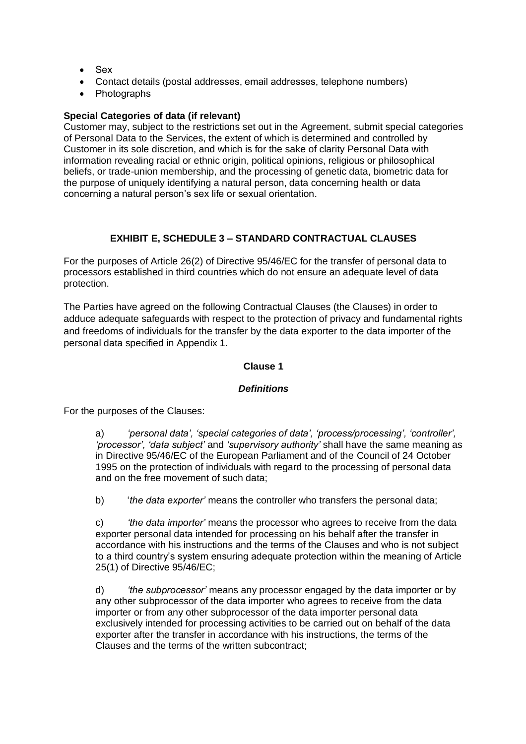- Sex
- Contact details (postal addresses, email addresses, telephone numbers)
- Photographs

## **Special Categories of data (if relevant)**

Customer may, subject to the restrictions set out in the Agreement, submit special categories of Personal Data to the Services, the extent of which is determined and controlled by Customer in its sole discretion, and which is for the sake of clarity Personal Data with information revealing racial or ethnic origin, political opinions, religious or philosophical beliefs, or trade-union membership, and the processing of genetic data, biometric data for the purpose of uniquely identifying a natural person, data concerning health or data concerning a natural person's sex life or sexual orientation.

# **EXHIBIT E, SCHEDULE 3 – STANDARD CONTRACTUAL CLAUSES**

For the purposes of Article 26(2) of Directive 95/46/EC for the transfer of personal data to processors established in third countries which do not ensure an adequate level of data protection.

The Parties have agreed on the following Contractual Clauses (the Clauses) in order to adduce adequate safeguards with respect to the protection of privacy and fundamental rights and freedoms of individuals for the transfer by the data exporter to the data importer of the personal data specified in Appendix 1.

## **Clause 1**

### *Definitions*

For the purposes of the Clauses:

a) *'personal data', 'special categories of data', 'process/processing', 'controller', 'processor', 'data subject'* and *'supervisory authority'* shall have the same meaning as in Directive 95/46/EC of the European Parliament and of the Council of 24 October 1995 on the protection of individuals with regard to the processing of personal data and on the free movement of such data;

b) '*the data exporter'* means the controller who transfers the personal data;

c) *'the data importer'* means the processor who agrees to receive from the data exporter personal data intended for processing on his behalf after the transfer in accordance with his instructions and the terms of the Clauses and who is not subject to a third country's system ensuring adequate protection within the meaning of Article 25(1) of Directive 95/46/EC;

d) *'the subprocessor'* means any processor engaged by the data importer or by any other subprocessor of the data importer who agrees to receive from the data importer or from any other subprocessor of the data importer personal data exclusively intended for processing activities to be carried out on behalf of the data exporter after the transfer in accordance with his instructions, the terms of the Clauses and the terms of the written subcontract;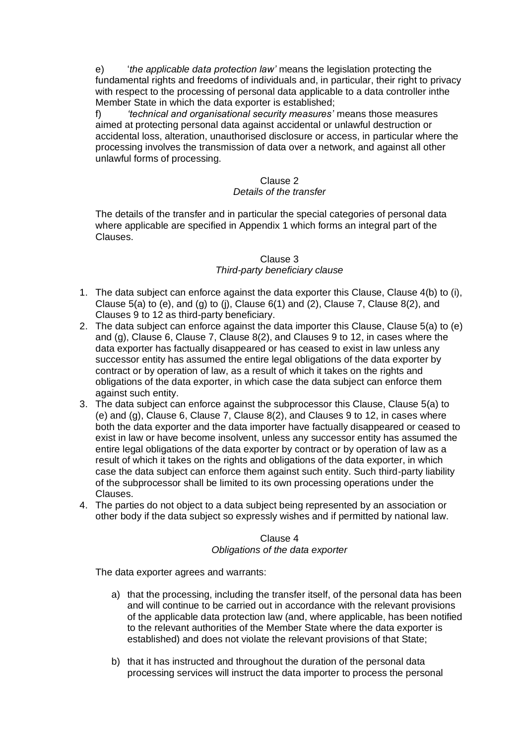e) '*the applicable data protection law'* means the legislation protecting the fundamental rights and freedoms of individuals and, in particular, their right to privacy with respect to the processing of personal data applicable to a data controller inthe Member State in which the data exporter is established;

f) *'technical and organisational security measures'* means those measures aimed at protecting personal data against accidental or unlawful destruction or accidental loss, alteration, unauthorised disclosure or access, in particular where the processing involves the transmission of data over a network, and against all other unlawful forms of processing.

#### Clause 2 *Details of the transfer*

The details of the transfer and in particular the special categories of personal data where applicable are specified in Appendix 1 which forms an integral part of the Clauses.

### Clause 3 *Third-party beneficiary clause*

- 1. The data subject can enforce against the data exporter this Clause, Clause 4(b) to (i), Clause  $5(a)$  to (e), and (g) to (j), Clause  $6(1)$  and (2), Clause 7, Clause  $8(2)$ , and Clauses 9 to 12 as third-party beneficiary.
- 2. The data subject can enforce against the data importer this Clause, Clause 5(a) to (e) and (g), Clause 6, Clause 7, Clause 8(2), and Clauses 9 to 12, in cases where the data exporter has factually disappeared or has ceased to exist in law unless any successor entity has assumed the entire legal obligations of the data exporter by contract or by operation of law, as a result of which it takes on the rights and obligations of the data exporter, in which case the data subject can enforce them against such entity.
- 3. The data subject can enforce against the subprocessor this Clause, Clause 5(a) to (e) and (g), Clause 6, Clause 7, Clause 8(2), and Clauses 9 to 12, in cases where both the data exporter and the data importer have factually disappeared or ceased to exist in law or have become insolvent, unless any successor entity has assumed the entire legal obligations of the data exporter by contract or by operation of law as a result of which it takes on the rights and obligations of the data exporter, in which case the data subject can enforce them against such entity. Such third-party liability of the subprocessor shall be limited to its own processing operations under the Clauses.
- 4. The parties do not object to a data subject being represented by an association or other body if the data subject so expressly wishes and if permitted by national law.

### Clause 4 *Obligations of the data exporter*

The data exporter agrees and warrants:

- a) that the processing, including the transfer itself, of the personal data has been and will continue to be carried out in accordance with the relevant provisions of the applicable data protection law (and, where applicable, has been notified to the relevant authorities of the Member State where the data exporter is established) and does not violate the relevant provisions of that State;
- b) that it has instructed and throughout the duration of the personal data processing services will instruct the data importer to process the personal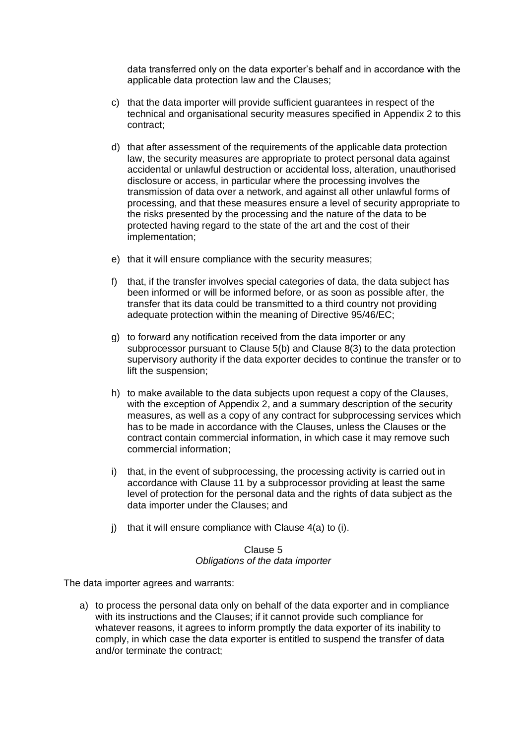data transferred only on the data exporter's behalf and in accordance with the applicable data protection law and the Clauses;

- c) that the data importer will provide sufficient guarantees in respect of the technical and organisational security measures specified in Appendix 2 to this contract;
- d) that after assessment of the requirements of the applicable data protection law, the security measures are appropriate to protect personal data against accidental or unlawful destruction or accidental loss, alteration, unauthorised disclosure or access, in particular where the processing involves the transmission of data over a network, and against all other unlawful forms of processing, and that these measures ensure a level of security appropriate to the risks presented by the processing and the nature of the data to be protected having regard to the state of the art and the cost of their implementation;
- e) that it will ensure compliance with the security measures;
- f) that, if the transfer involves special categories of data, the data subject has been informed or will be informed before, or as soon as possible after, the transfer that its data could be transmitted to a third country not providing adequate protection within the meaning of Directive 95/46/EC;
- g) to forward any notification received from the data importer or any subprocessor pursuant to Clause 5(b) and Clause 8(3) to the data protection supervisory authority if the data exporter decides to continue the transfer or to lift the suspension;
- h) to make available to the data subjects upon request a copy of the Clauses, with the exception of Appendix 2, and a summary description of the security measures, as well as a copy of any contract for subprocessing services which has to be made in accordance with the Clauses, unless the Clauses or the contract contain commercial information, in which case it may remove such commercial information;
- i) that, in the event of subprocessing, the processing activity is carried out in accordance with Clause 11 by a subprocessor providing at least the same level of protection for the personal data and the rights of data subject as the data importer under the Clauses; and
- j) that it will ensure compliance with Clause 4(a) to (i).

#### Clause 5 *Obligations of the data importer*

The data importer agrees and warrants:

a) to process the personal data only on behalf of the data exporter and in compliance with its instructions and the Clauses; if it cannot provide such compliance for whatever reasons, it agrees to inform promptly the data exporter of its inability to comply, in which case the data exporter is entitled to suspend the transfer of data and/or terminate the contract;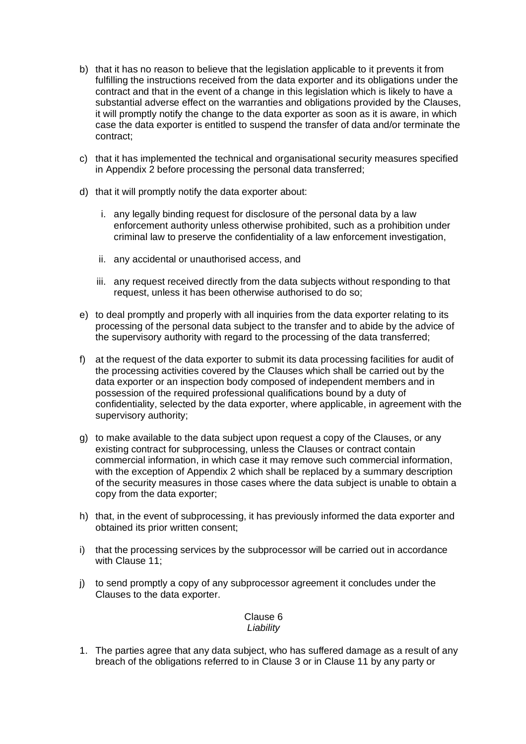- b) that it has no reason to believe that the legislation applicable to it prevents it from fulfilling the instructions received from the data exporter and its obligations under the contract and that in the event of a change in this legislation which is likely to have a substantial adverse effect on the warranties and obligations provided by the Clauses, it will promptly notify the change to the data exporter as soon as it is aware, in which case the data exporter is entitled to suspend the transfer of data and/or terminate the contract;
- c) that it has implemented the technical and organisational security measures specified in Appendix 2 before processing the personal data transferred;
- d) that it will promptly notify the data exporter about:
	- i. any legally binding request for disclosure of the personal data by a law enforcement authority unless otherwise prohibited, such as a prohibition under criminal law to preserve the confidentiality of a law enforcement investigation,
	- ii. any accidental or unauthorised access, and
	- iii. any request received directly from the data subjects without responding to that request, unless it has been otherwise authorised to do so;
- e) to deal promptly and properly with all inquiries from the data exporter relating to its processing of the personal data subject to the transfer and to abide by the advice of the supervisory authority with regard to the processing of the data transferred;
- f) at the request of the data exporter to submit its data processing facilities for audit of the processing activities covered by the Clauses which shall be carried out by the data exporter or an inspection body composed of independent members and in possession of the required professional qualifications bound by a duty of confidentiality, selected by the data exporter, where applicable, in agreement with the supervisory authority;
- g) to make available to the data subject upon request a copy of the Clauses, or any existing contract for subprocessing, unless the Clauses or contract contain commercial information, in which case it may remove such commercial information, with the exception of Appendix 2 which shall be replaced by a summary description of the security measures in those cases where the data subject is unable to obtain a copy from the data exporter;
- h) that, in the event of subprocessing, it has previously informed the data exporter and obtained its prior written consent;
- i) that the processing services by the subprocessor will be carried out in accordance with Clause 11;
- j) to send promptly a copy of any subprocessor agreement it concludes under the Clauses to the data exporter.

#### Clause 6 *Liability*

1. The parties agree that any data subject, who has suffered damage as a result of any breach of the obligations referred to in Clause 3 or in Clause 11 by any party or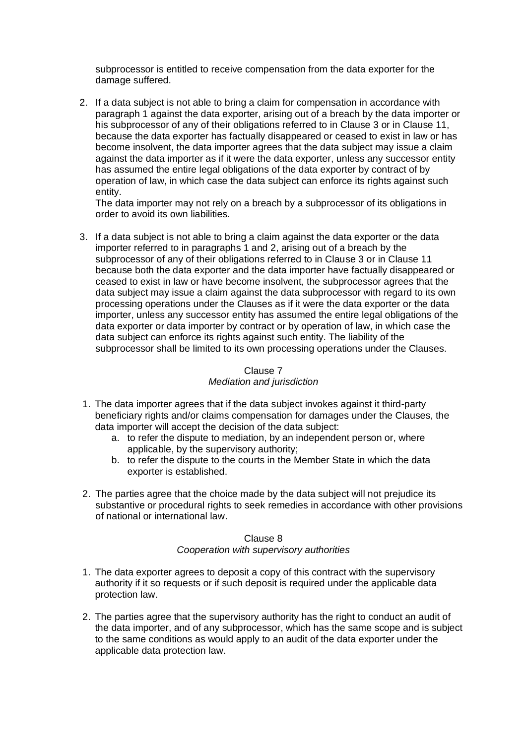subprocessor is entitled to receive compensation from the data exporter for the damage suffered.

2. If a data subject is not able to bring a claim for compensation in accordance with paragraph 1 against the data exporter, arising out of a breach by the data importer or his subprocessor of any of their obligations referred to in Clause 3 or in Clause 11, because the data exporter has factually disappeared or ceased to exist in law or has become insolvent, the data importer agrees that the data subject may issue a claim against the data importer as if it were the data exporter, unless any successor entity has assumed the entire legal obligations of the data exporter by contract of by operation of law, in which case the data subject can enforce its rights against such entity.

The data importer may not rely on a breach by a subprocessor of its obligations in order to avoid its own liabilities.

3. If a data subject is not able to bring a claim against the data exporter or the data importer referred to in paragraphs 1 and 2, arising out of a breach by the subprocessor of any of their obligations referred to in Clause 3 or in Clause 11 because both the data exporter and the data importer have factually disappeared or ceased to exist in law or have become insolvent, the subprocessor agrees that the data subject may issue a claim against the data subprocessor with regard to its own processing operations under the Clauses as if it were the data exporter or the data importer, unless any successor entity has assumed the entire legal obligations of the data exporter or data importer by contract or by operation of law, in which case the data subject can enforce its rights against such entity. The liability of the subprocessor shall be limited to its own processing operations under the Clauses.

## Clause 7 *Mediation and jurisdiction*

- 1. The data importer agrees that if the data subject invokes against it third-party beneficiary rights and/or claims compensation for damages under the Clauses, the data importer will accept the decision of the data subject:
	- a. to refer the dispute to mediation, by an independent person or, where applicable, by the supervisory authority;
	- b. to refer the dispute to the courts in the Member State in which the data exporter is established.
- 2. The parties agree that the choice made by the data subject will not prejudice its substantive or procedural rights to seek remedies in accordance with other provisions of national or international law.

#### Clause 8 *Cooperation with supervisory authorities*

- 1. The data exporter agrees to deposit a copy of this contract with the supervisory authority if it so requests or if such deposit is required under the applicable data protection law.
- 2. The parties agree that the supervisory authority has the right to conduct an audit of the data importer, and of any subprocessor, which has the same scope and is subject to the same conditions as would apply to an audit of the data exporter under the applicable data protection law.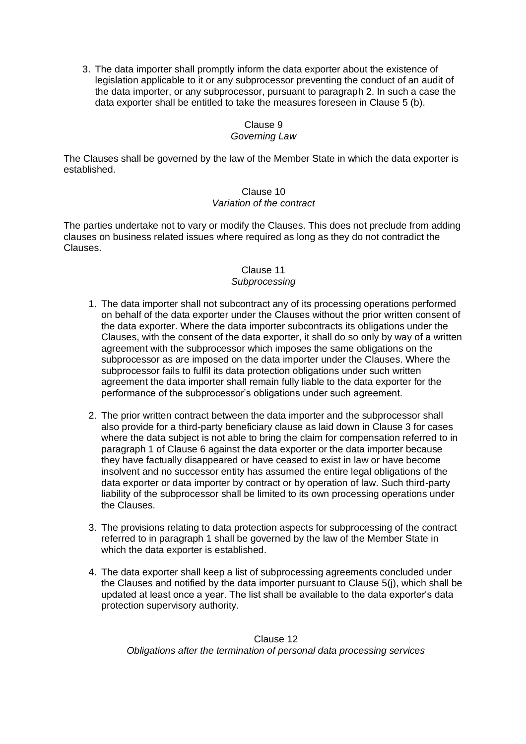3. The data importer shall promptly inform the data exporter about the existence of legislation applicable to it or any subprocessor preventing the conduct of an audit of the data importer, or any subprocessor, pursuant to paragraph 2. In such a case the data exporter shall be entitled to take the measures foreseen in Clause 5 (b).

### Clause 9 *Governing Law*

The Clauses shall be governed by the law of the Member State in which the data exporter is established.

### Clause 10 *Variation of the contract*

The parties undertake not to vary or modify the Clauses. This does not preclude from adding clauses on business related issues where required as long as they do not contradict the Clauses.

# Clause 11

## *Subprocessing*

- 1. The data importer shall not subcontract any of its processing operations performed on behalf of the data exporter under the Clauses without the prior written consent of the data exporter. Where the data importer subcontracts its obligations under the Clauses, with the consent of the data exporter, it shall do so only by way of a written agreement with the subprocessor which imposes the same obligations on the subprocessor as are imposed on the data importer under the Clauses. Where the subprocessor fails to fulfil its data protection obligations under such written agreement the data importer shall remain fully liable to the data exporter for the performance of the subprocessor's obligations under such agreement.
- 2. The prior written contract between the data importer and the subprocessor shall also provide for a third-party beneficiary clause as laid down in Clause 3 for cases where the data subject is not able to bring the claim for compensation referred to in paragraph 1 of Clause 6 against the data exporter or the data importer because they have factually disappeared or have ceased to exist in law or have become insolvent and no successor entity has assumed the entire legal obligations of the data exporter or data importer by contract or by operation of law. Such third-party liability of the subprocessor shall be limited to its own processing operations under the Clauses.
- 3. The provisions relating to data protection aspects for subprocessing of the contract referred to in paragraph 1 shall be governed by the law of the Member State in which the data exporter is established.
- 4. The data exporter shall keep a list of subprocessing agreements concluded under the Clauses and notified by the data importer pursuant to Clause 5(j), which shall be updated at least once a year. The list shall be available to the data exporter's data protection supervisory authority.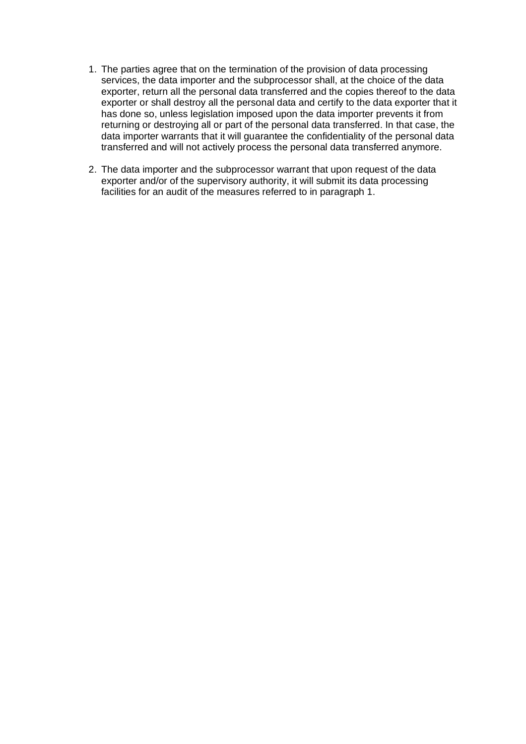- 1. The parties agree that on the termination of the provision of data processing services, the data importer and the subprocessor shall, at the choice of the data exporter, return all the personal data transferred and the copies thereof to the data exporter or shall destroy all the personal data and certify to the data exporter that it has done so, unless legislation imposed upon the data importer prevents it from returning or destroying all or part of the personal data transferred. In that case, the data importer warrants that it will guarantee the confidentiality of the personal data transferred and will not actively process the personal data transferred anymore.
- 2. The data importer and the subprocessor warrant that upon request of the data exporter and/or of the supervisory authority, it will submit its data processing facilities for an audit of the measures referred to in paragraph 1.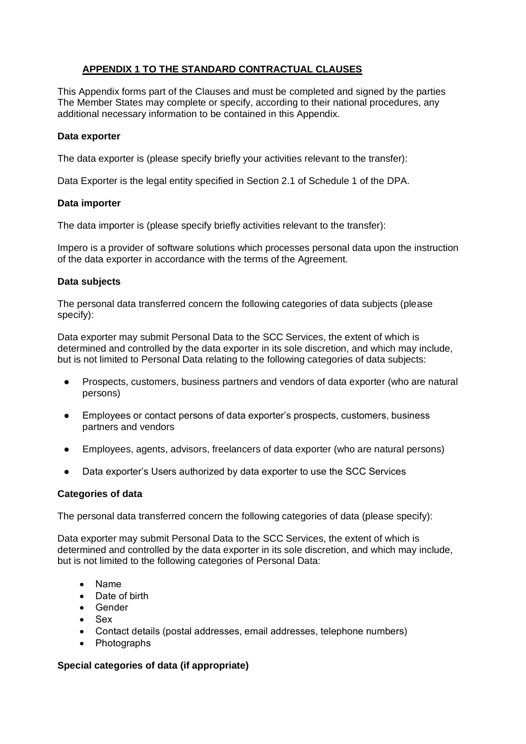# **APPENDIX 1 TO THE STANDARD CONTRACTUAL CLAUSES**

This Appendix forms part of the Clauses and must be completed and signed by the parties The Member States may complete or specify, according to their national procedures, any additional necessary information to be contained in this Appendix.

### **Data exporter**

The data exporter is (please specify briefly your activities relevant to the transfer):

Data Exporter is the legal entity specified in Section 2.1 of Schedule 1 of the DPA.

#### **Data importer**

The data importer is (please specify briefly activities relevant to the transfer):

Impero is a provider of software solutions which processes personal data upon the instruction of the data exporter in accordance with the terms of the Agreement.

#### **Data subjects**

The personal data transferred concern the following categories of data subjects (please specify):

Data exporter may submit Personal Data to the SCC Services, the extent of which is determined and controlled by the data exporter in its sole discretion, and which may include, but is not limited to Personal Data relating to the following categories of data subjects:

- Prospects, customers, business partners and vendors of data exporter (who are natural persons)
- Employees or contact persons of data exporter's prospects, customers, business partners and vendors
- Employees, agents, advisors, freelancers of data exporter (who are natural persons)
- Data exporter's Users authorized by data exporter to use the SCC Services

### **Categories of data**

The personal data transferred concern the following categories of data (please specify):

Data exporter may submit Personal Data to the SCC Services, the extent of which is determined and controlled by the data exporter in its sole discretion, and which may include, but is not limited to the following categories of Personal Data:

- Name
- Date of birth
- Gender
- Sex
- Contact details (postal addresses, email addresses, telephone numbers)
- Photographs

### **Special categories of data (if appropriate)**